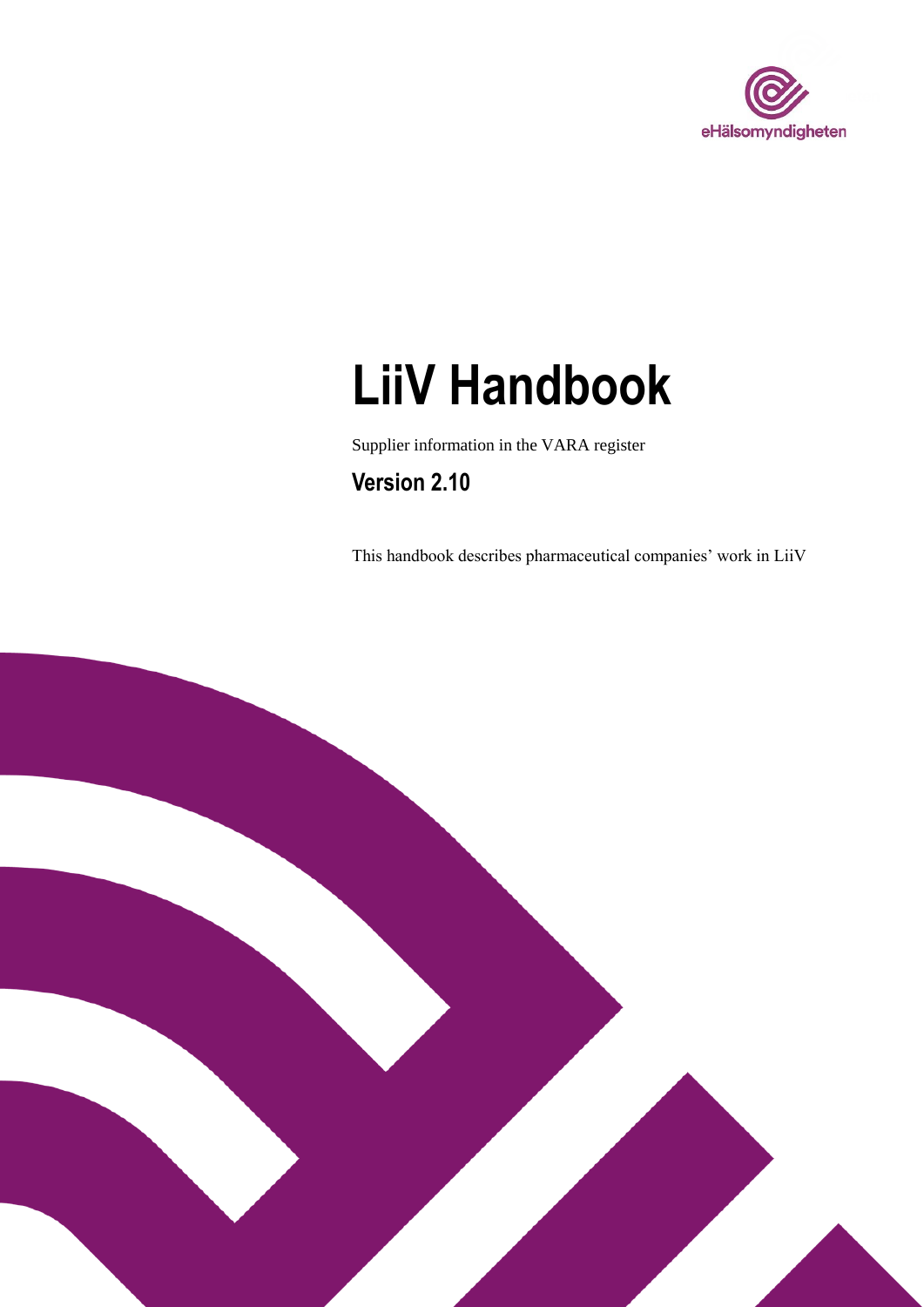

# **LiiV Handbook**

Supplier information in the VARA register

# **Version 2.10**

This handbook describes pharmaceutical companies' work in LiiV

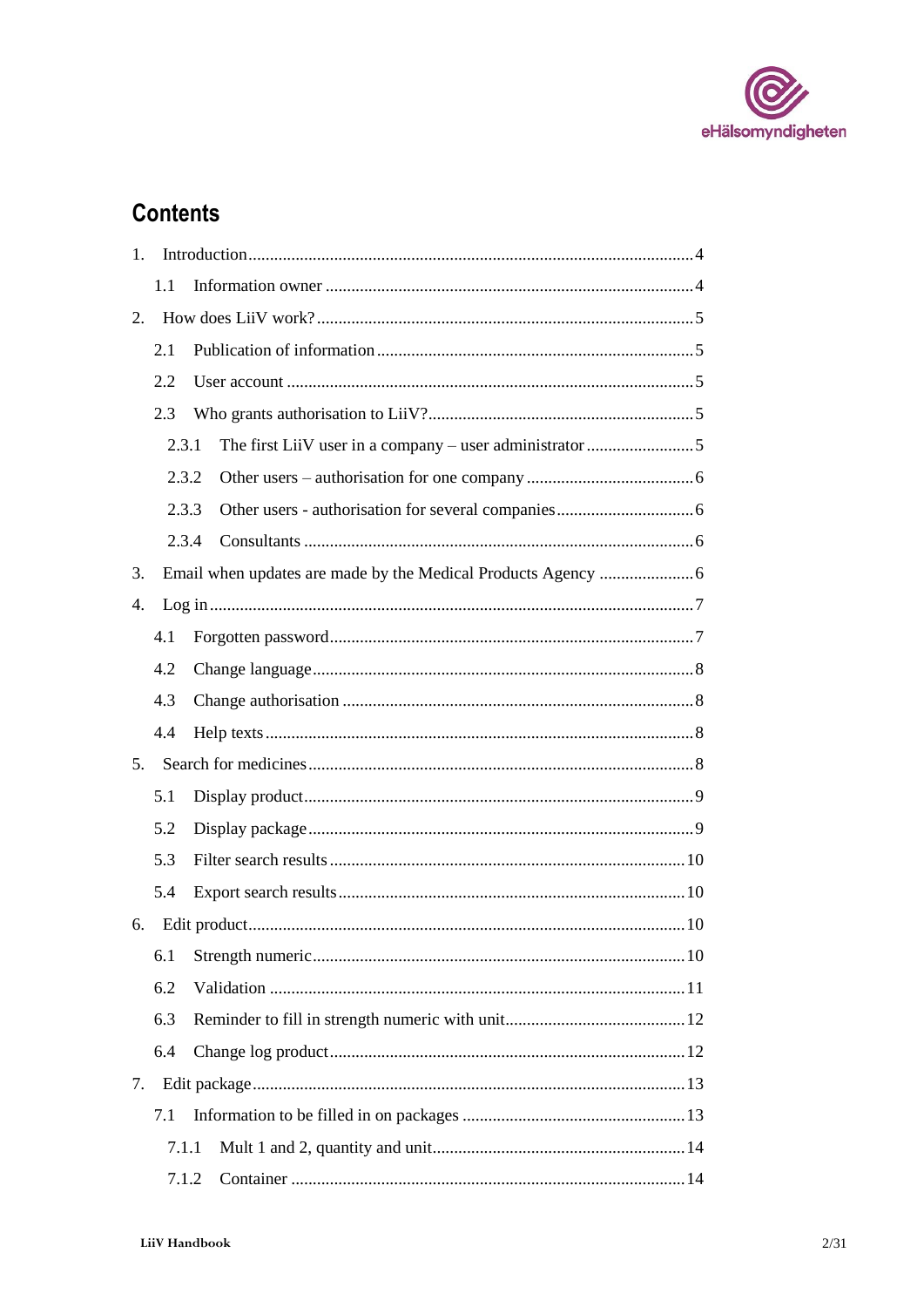

# **Contents**

| 1. |       |  |
|----|-------|--|
|    | 1.1   |  |
| 2. |       |  |
|    | 2.1   |  |
|    | 2.2   |  |
|    | 2.3   |  |
|    | 2.3.1 |  |
|    | 2.3.2 |  |
|    | 2.3.3 |  |
|    | 2.3.4 |  |
| 3. |       |  |
| 4. |       |  |
|    | 4.1   |  |
|    | 4.2   |  |
|    | 4.3   |  |
|    | 4.4   |  |
| 5. |       |  |
|    | 5.1   |  |
|    | 5.2   |  |
|    | 5.3   |  |
|    | 5.4   |  |
| 6. |       |  |
|    | 6.1   |  |
|    | 6.2   |  |
|    | 6.3   |  |
|    | 6.4   |  |
| 7. |       |  |
|    | 7.1   |  |
|    | 7.1.1 |  |
|    | 7.1.2 |  |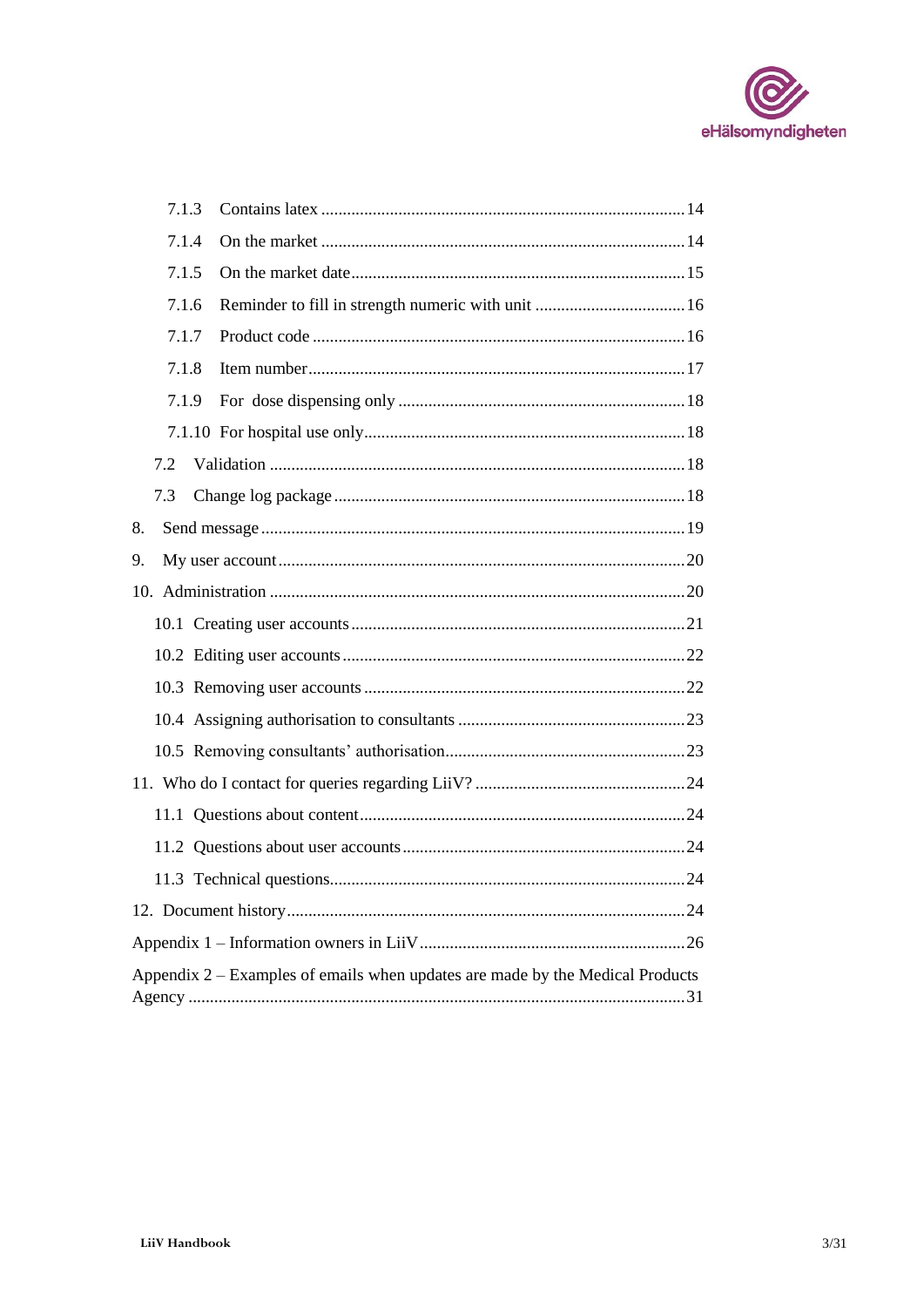

| 7.1.3                                                                         |
|-------------------------------------------------------------------------------|
| 7.1.4                                                                         |
| 7.1.5                                                                         |
| 7.1.6                                                                         |
| 7.1.7                                                                         |
| 7.1.8                                                                         |
| 7.1.9                                                                         |
|                                                                               |
| 7.2                                                                           |
| 7.3                                                                           |
| 8.                                                                            |
| 9.                                                                            |
|                                                                               |
|                                                                               |
|                                                                               |
|                                                                               |
|                                                                               |
|                                                                               |
|                                                                               |
|                                                                               |
|                                                                               |
|                                                                               |
|                                                                               |
|                                                                               |
| Appendix 2 – Examples of emails when updates are made by the Medical Products |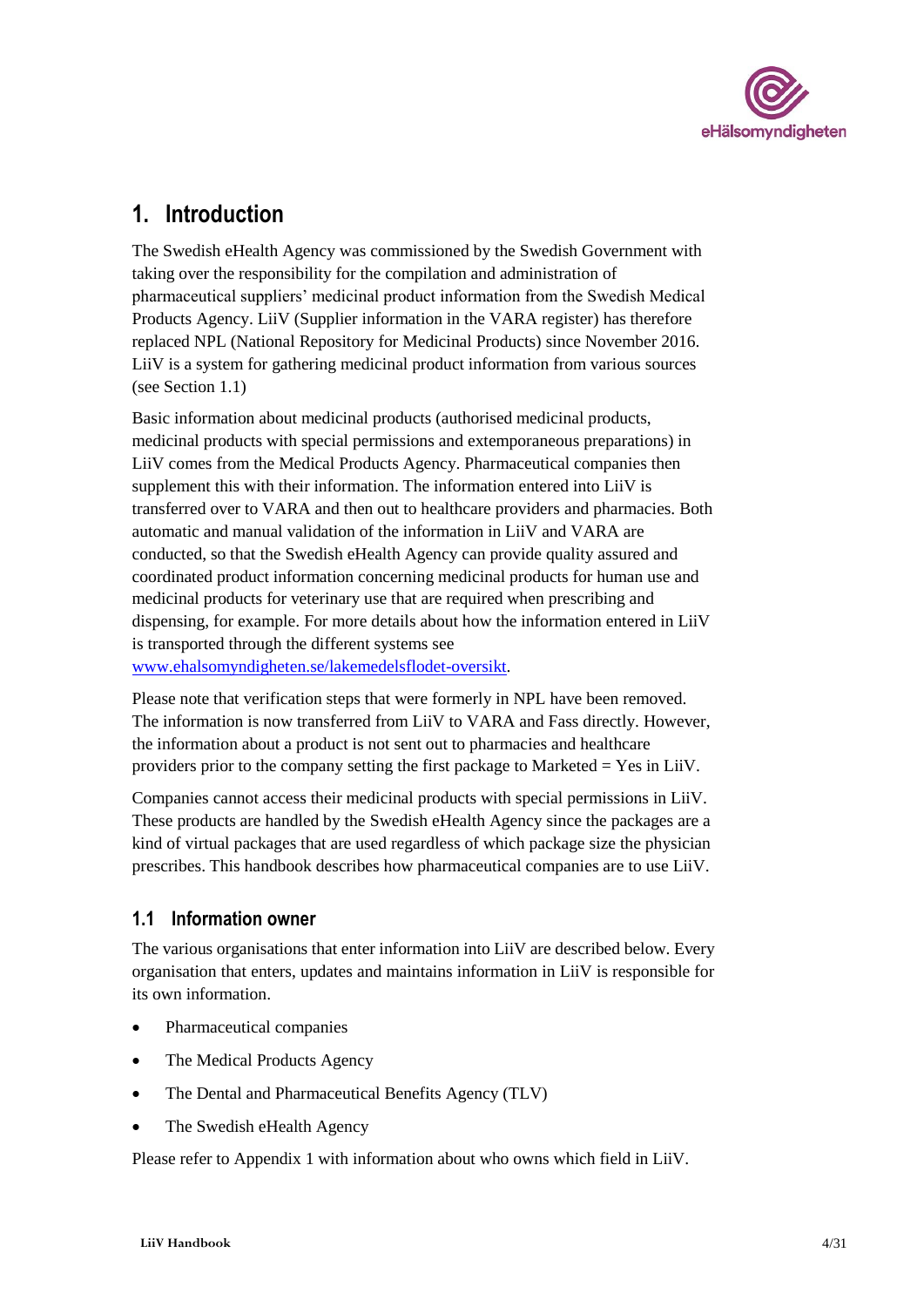

## <span id="page-3-0"></span>**1. Introduction**

The Swedish eHealth Agency was commissioned by the Swedish Government with taking over the responsibility for the compilation and administration of pharmaceutical suppliers' medicinal product information from the Swedish Medical Products Agency. LiiV (Supplier information in the VARA register) has therefore replaced NPL (National Repository for Medicinal Products) since November 2016. LiiV is a system for gathering medicinal product information from various sources (see Section 1.1)

Basic information about medicinal products (authorised medicinal products, medicinal products with special permissions and extemporaneous preparations) in LiiV comes from the Medical Products Agency. Pharmaceutical companies then supplement this with their information. The information entered into LiiV is transferred over to VARA and then out to healthcare providers and pharmacies. Both automatic and manual validation of the information in LiiV and VARA are conducted, so that the Swedish eHealth Agency can provide quality assured and coordinated product information concerning medicinal products for human use and medicinal products for veterinary use that are required when prescribing and dispensing, for example. For more details about how the information entered in LiiV is transported through the different systems see [www.ehalsomyndigheten.se/lakemedelsflodet-oversikt.](http://www.ehalsomyndigheten.se/lakemedelsflodet-oversikt)

Please note that verification steps that were formerly in NPL have been removed. The information is now transferred from LiiV to VARA and Fass directly. However, the information about a product is not sent out to pharmacies and healthcare providers prior to the company setting the first package to Marketed = Yes in LiiV.

Companies cannot access their medicinal products with special permissions in LiiV. These products are handled by the Swedish eHealth Agency since the packages are a kind of virtual packages that are used regardless of which package size the physician prescribes. This handbook describes how pharmaceutical companies are to use LiiV.

#### <span id="page-3-1"></span>**1.1 Information owner**

The various organisations that enter information into LiiV are described below. Every organisation that enters, updates and maintains information in LiiV is responsible for its own information.

- Pharmaceutical companies
- The Medical Products Agency
- The Dental and Pharmaceutical Benefits Agency (TLV)
- The Swedish eHealth Agency

Please refer to Appendix 1 with information about who owns which field in LiiV.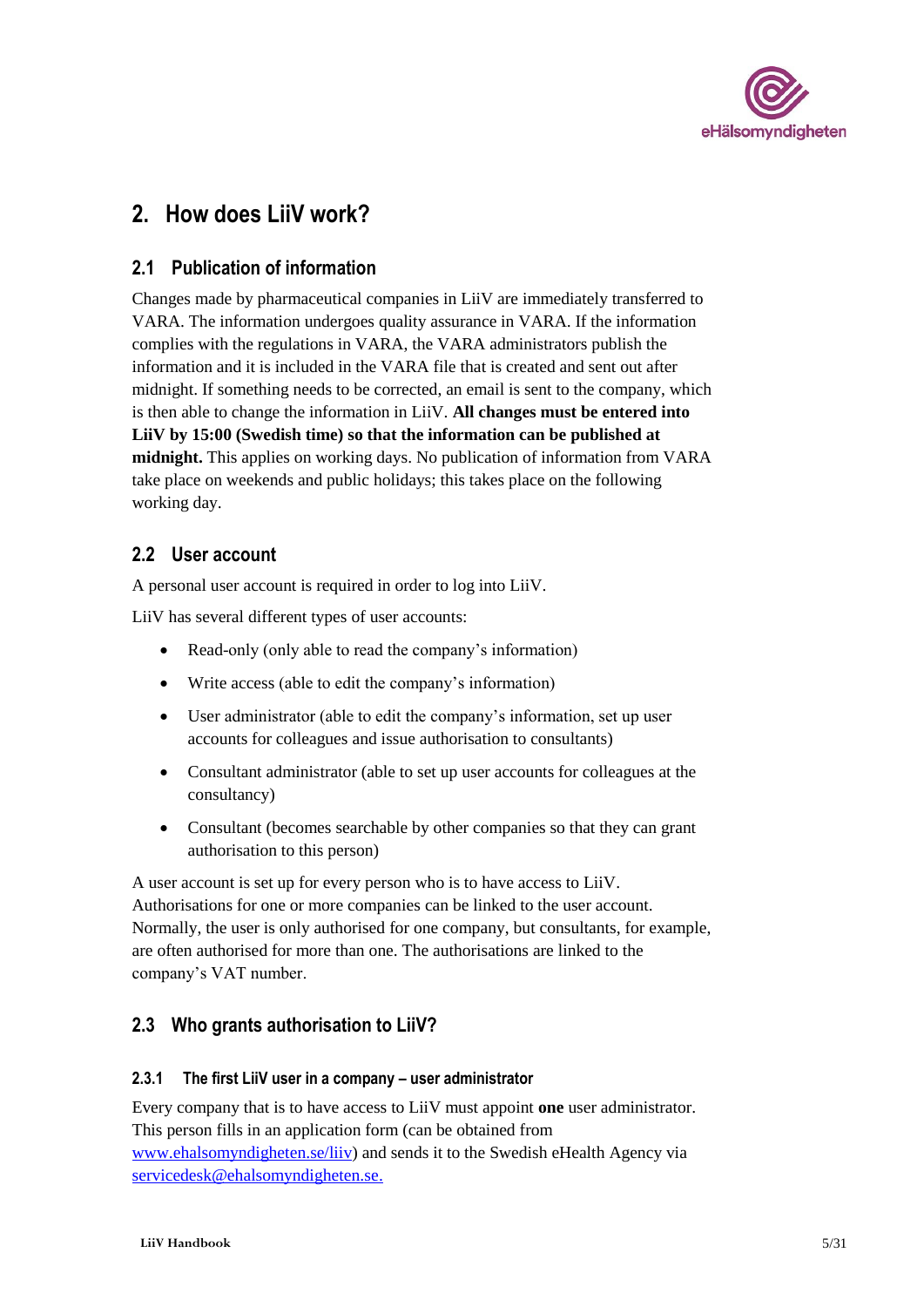

## <span id="page-4-0"></span>**2. How does LiiV work?**

#### <span id="page-4-1"></span>**2.1 Publication of information**

Changes made by pharmaceutical companies in LiiV are immediately transferred to VARA. The information undergoes quality assurance in VARA. If the information complies with the regulations in VARA, the VARA administrators publish the information and it is included in the VARA file that is created and sent out after midnight. If something needs to be corrected, an email is sent to the company, which is then able to change the information in LiiV. **All changes must be entered into LiiV by 15:00 (Swedish time) so that the information can be published at midnight.** This applies on working days. No publication of information from VARA take place on weekends and public holidays; this takes place on the following working day.

#### <span id="page-4-2"></span>**2.2 User account**

A personal user account is required in order to log into LiiV.

LiiV has several different types of user accounts:

- Read-only (only able to read the company's information)
- Write access (able to edit the company's information)
- User administrator (able to edit the company's information, set up user accounts for colleagues and issue authorisation to consultants)
- Consultant administrator (able to set up user accounts for colleagues at the consultancy)
- Consultant (becomes searchable by other companies so that they can grant authorisation to this person)

A user account is set up for every person who is to have access to LiiV. Authorisations for one or more companies can be linked to the user account. Normally, the user is only authorised for one company, but consultants, for example, are often authorised for more than one. The authorisations are linked to the company's VAT number.

#### <span id="page-4-3"></span>**2.3 Who grants authorisation to LiiV?**

#### <span id="page-4-4"></span>**2.3.1 The first LiiV user in a company – user administrator**

Every company that is to have access to LiiV must appoint **one** user administrator. This person fills in an application form (can be obtained from [www.ehalsomyndigheten.se/liiv\)](http://www.ehalsomyndigheten.se/liiv) and sends it to the Swedish eHealth Agency via [servicedesk@ehalsomyndigheten.se.](mailto:servicedesk@ehalsomyndigheten.se)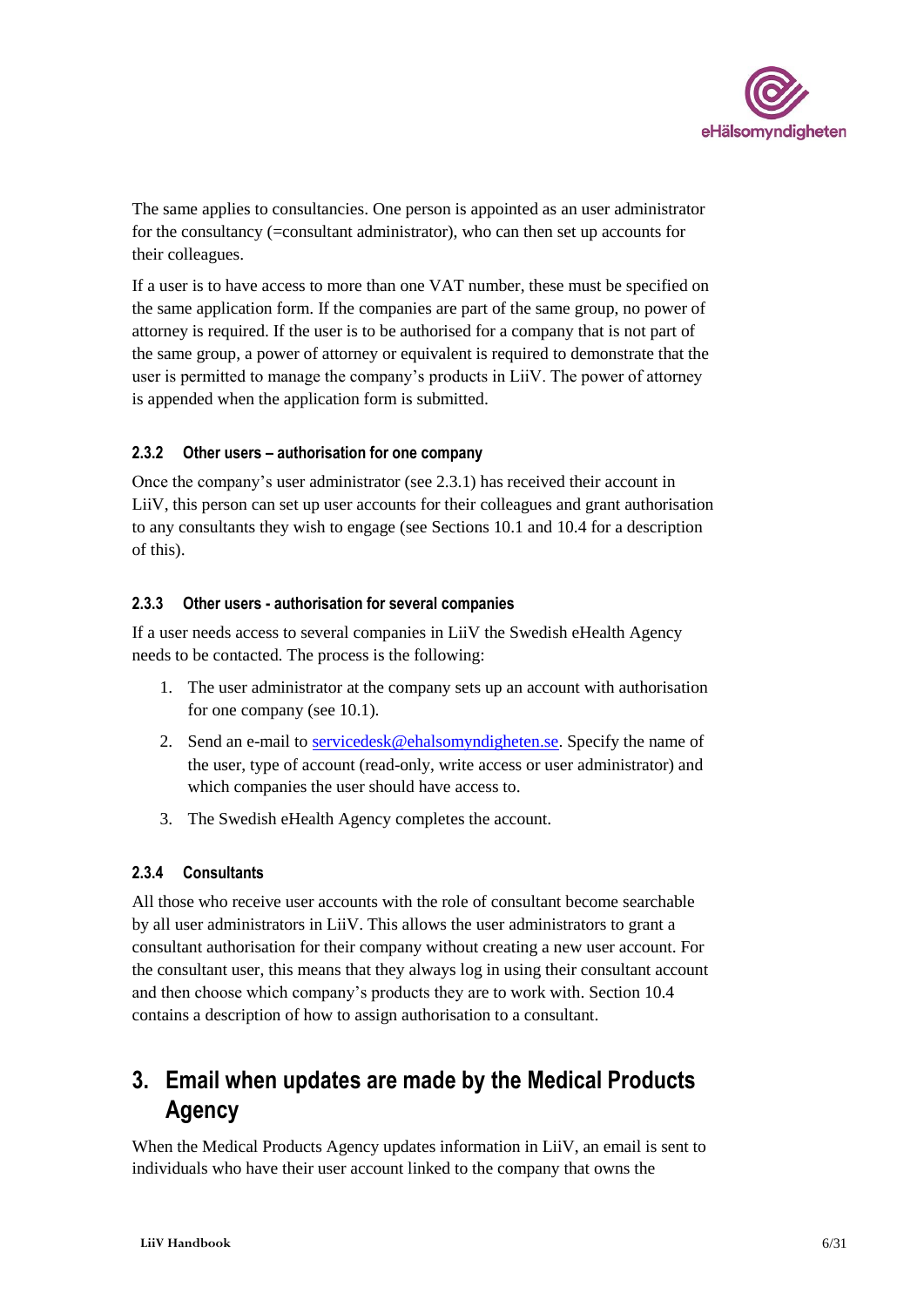

The same applies to consultancies. One person is appointed as an user administrator for the consultancy (=consultant administrator), who can then set up accounts for their colleagues.

If a user is to have access to more than one VAT number, these must be specified on the same application form. If the companies are part of the same group, no power of attorney is required. If the user is to be authorised for a company that is not part of the same group, a power of attorney or equivalent is required to demonstrate that the user is permitted to manage the company's products in LiiV. The power of attorney is appended when the application form is submitted.

#### <span id="page-5-0"></span>**2.3.2 Other users – authorisation for one company**

Once the company's user administrator (see 2.3.1) has received their account in LiiV, this person can set up user accounts for their colleagues and grant authorisation to any consultants they wish to engage (see Sections 10.1 and 10.4 for a description of this).

#### <span id="page-5-1"></span>**2.3.3 Other users - authorisation for several companies**

If a user needs access to several companies in LiiV the Swedish eHealth Agency needs to be contacted. The process is the following:

- 1. The user administrator at the company sets up an account with authorisation for one company (see 10.1).
- 2. Send an e-mail to [servicedesk@ehalsomyndigheten.se.](mailto:servicedesk@ehalsomyndigheten.se) Specify the name of the user, type of account (read-only, write access or user administrator) and which companies the user should have access to.
- 3. The Swedish eHealth Agency completes the account.

#### <span id="page-5-2"></span>**2.3.4 Consultants**

All those who receive user accounts with the role of consultant become searchable by all user administrators in LiiV. This allows the user administrators to grant a consultant authorisation for their company without creating a new user account. For the consultant user, this means that they always log in using their consultant account and then choose which company's products they are to work with. Section 10.4 contains a description of how to assign authorisation to a consultant.

## <span id="page-5-3"></span>**3. Email when updates are made by the Medical Products Agency**

When the Medical Products Agency updates information in LiiV, an email is sent to individuals who have their user account linked to the company that owns the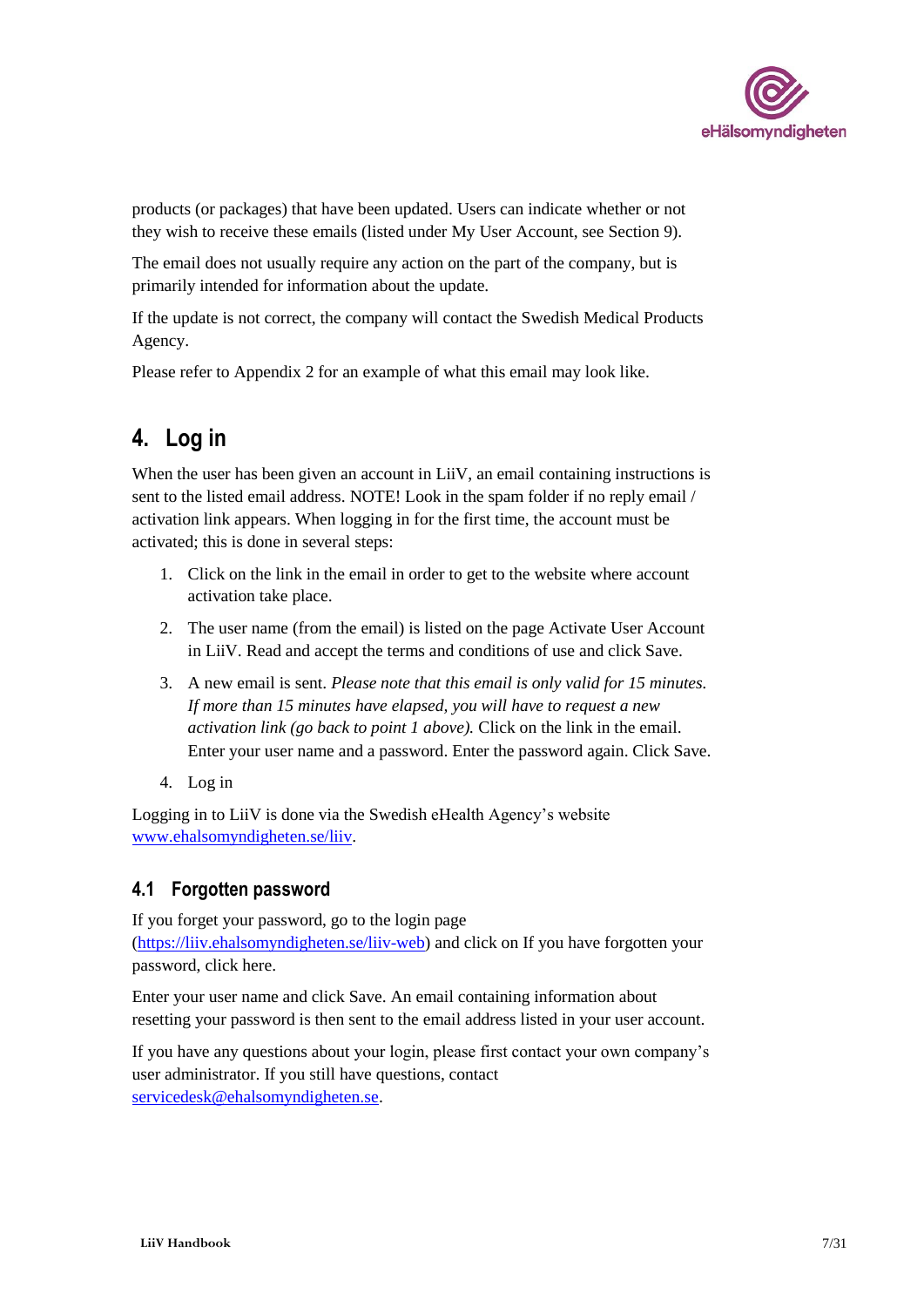

products (or packages) that have been updated. Users can indicate whether or not they wish to receive these emails (listed under My User Account, see Section 9).

The email does not usually require any action on the part of the company, but is primarily intended for information about the update.

If the update is not correct, the company will contact the Swedish Medical Products Agency.

Please refer to Appendix 2 for an example of what this email may look like.

# <span id="page-6-0"></span>**4. Log in**

When the user has been given an account in LiiV, an email containing instructions is sent to the listed email address. NOTE! Look in the spam folder if no reply email / activation link appears. When logging in for the first time, the account must be activated; this is done in several steps:

- 1. Click on the link in the email in order to get to the website where account activation take place.
- 2. The user name (from the email) is listed on the page Activate User Account in LiiV. Read and accept the terms and conditions of use and click Save.
- 3. A new email is sent. *Please note that this email is only valid for 15 minutes. If more than 15 minutes have elapsed, you will have to request a new activation link (go back to point 1 above).* Click on the link in the email. Enter your user name and a password. Enter the password again. Click Save.
- 4. Log in

Logging in to LiiV is done via the Swedish eHealth Agency's website [www.ehalsomyndigheten.se/liiv.](http://www.ehalsomyndigheten.se/liiv)

#### <span id="page-6-1"></span>**4.1 Forgotten password**

If you forget your password, go to the login page [\(https://liiv.ehalsomyndigheten.se/liiv-web\)](https://liiv.ehalsomyndigheten.se/liiv-web) and click on If you have forgotten your password, click here.

Enter your user name and click Save. An email containing information about resetting your password is then sent to the email address listed in your user account.

If you have any questions about your login, please first contact your own company's user administrator. If you still have questions, contact [servicedesk@ehalsomyndigheten.se.](mailto:servicedesk@ehalsomyndigheten.se)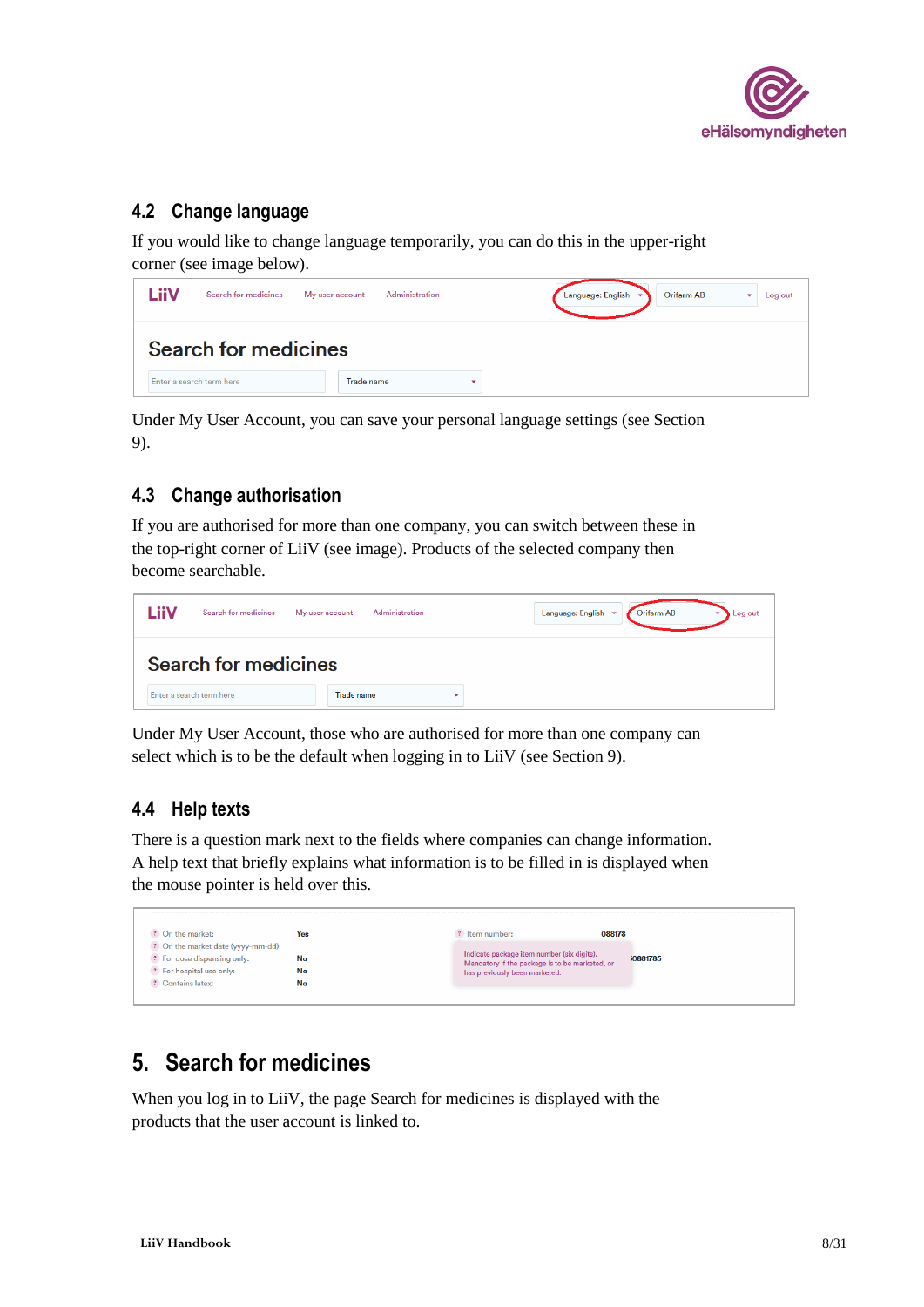

#### <span id="page-7-0"></span>**4.2 Change language**

If you would like to change language temporarily, you can do this in the upper-right corner (see image below).

| l iiV                    | Search for medicines        | My user account | Administration    | Language: English | Orifarm AB | Log out |  |
|--------------------------|-----------------------------|-----------------|-------------------|-------------------|------------|---------|--|
|                          | <b>Search for medicines</b> |                 |                   |                   |            |         |  |
| Enter a search term here |                             |                 | <b>Trade name</b> |                   |            |         |  |

Under My User Account, you can save your personal language settings (see Section 9).

#### <span id="page-7-1"></span>**4.3 Change authorisation**

If you are authorised for more than one company, you can switch between these in the top-right corner of LiiV (see image). Products of the selected company then become searchable.



Under My User Account, those who are authorised for more than one company can select which is to be the default when logging in to LiiV (see Section 9).

#### <span id="page-7-2"></span>**4.4 Help texts**

There is a question mark next to the fields where companies can change information. A help text that briefly explains what information is to be filled in is displayed when the mouse pointer is held over this.

| ? On the market:<br>Yes                                                                                          | ? Item number:<br>088178                                                                                                      |         |
|------------------------------------------------------------------------------------------------------------------|-------------------------------------------------------------------------------------------------------------------------------|---------|
| ? On the market date (yyyy-mm-dd):<br>? For dose dispensing only:<br><b>No</b><br>? For hospital use only:<br>No | Indicate package item number (six digits).<br>Mandatory if the package is to be marketed, or<br>has previously been marketed. | 0881785 |
| ? Contains latex:<br>No                                                                                          |                                                                                                                               |         |

# <span id="page-7-3"></span>**5. Search for medicines**

When you log in to LiiV, the page Search for medicines is displayed with the products that the user account is linked to.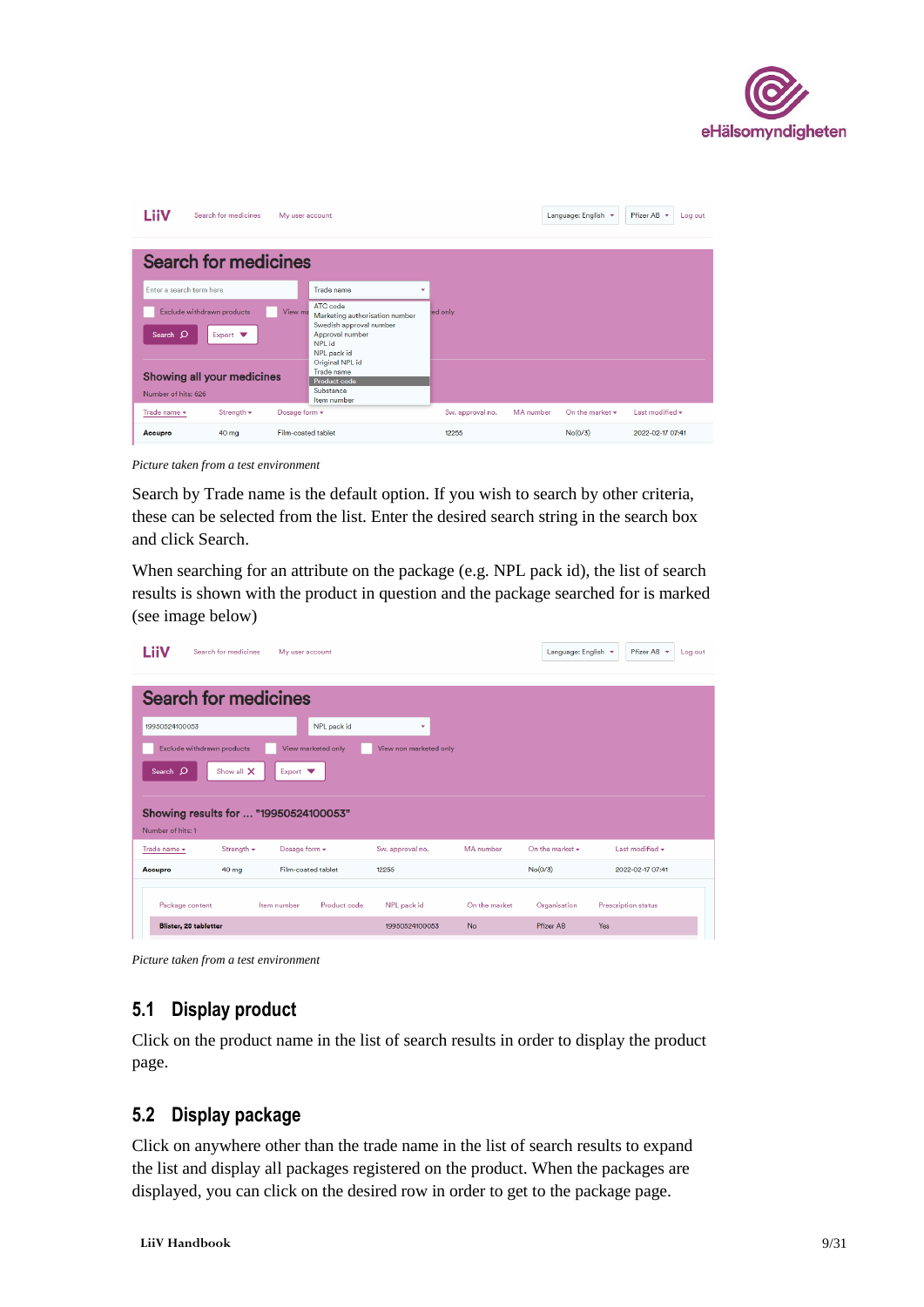

| LiiV<br>Search for medicines<br>My user account                                                                                       |                                                                                                                                                                                                       |                  |           | Language: English v   | Pfizer AB $\star$ | Log out |
|---------------------------------------------------------------------------------------------------------------------------------------|-------------------------------------------------------------------------------------------------------------------------------------------------------------------------------------------------------|------------------|-----------|-----------------------|-------------------|---------|
| <b>Search for medicines</b>                                                                                                           |                                                                                                                                                                                                       |                  |           |                       |                   |         |
| Enter a search term here                                                                                                              | Trade name<br>۰                                                                                                                                                                                       |                  |           |                       |                   |         |
| Exclude withdrawn products<br>View ma<br>Search O<br>Export $\blacktriangledown$<br>Showing all your medicines<br>Number of hits: 626 | ATC code<br>Marketing authorisation number<br>Swedish approval number<br>Approval number<br>NPI id<br>NPL pack id<br>Original NPL id<br>Trade name<br>Product code<br>Substance<br><b>Item number</b> | ed only          |           |                       |                   |         |
| Strength $\star$<br>Trade name $\star$<br>Dosage form $\star$                                                                         |                                                                                                                                                                                                       | Sw. approval no. | MA number | On the market $\star$ | Last modified +   |         |
| Film-coated tablet<br>Accupro<br>40 mg                                                                                                |                                                                                                                                                                                                       | 12255            |           | No(0/3)               | 2022-02-17 07:41  |         |

*Picture taken from a test environment*

Search by Trade name is the default option. If you wish to search by other criteria, these can be selected from the list. Enter the desired search string in the search box and click Search.

When searching for an attribute on the package (e.g. NPL pack id), the list of search results is shown with the product in question and the package searched for is marked (see image below)

| Search for medicines                                       | My user account             |                        |               | Language: English v   | Pfizer AB $\blacktriangledown$ | Log out |
|------------------------------------------------------------|-----------------------------|------------------------|---------------|-----------------------|--------------------------------|---------|
| <b>Search for medicines</b>                                |                             |                        |               |                       |                                |         |
| 19950524100053                                             | NPL pack id                 | ۰                      |               |                       |                                |         |
| Exclude withdrawn products                                 | View marketed only          | View non marketed only |               |                       |                                |         |
| Search Q<br>Show all X                                     | Export $\blacktriangledown$ |                        |               |                       |                                |         |
| Showing results for  "19950524100053"<br>Number of hits: 1 |                             |                        |               |                       |                                |         |
| Strength $\star$<br>Trade name $\star$                     | Dosage form $\star$         | Sw. approval no.       | MA number     | On the market $\star$ | Last modified $\star$          |         |
| Accupro<br>40 mg                                           | Film-coated tablet          | 12255                  |               | No(0/3)               | 2022-02-17 07:41               |         |
| Package content                                            | Product code<br>Item number | NPL pack id            | On the market | Organisation          | <b>Prescription status</b>     |         |
| <b>Blister, 28 tabletter</b>                               |                             | 19950524100053         | <b>No</b>     | <b>Pfizer AB</b>      | Yes                            |         |

*Picture taken from a test environment*

#### <span id="page-8-0"></span>**5.1 Display product**

Click on the product name in the list of search results in order to display the product page.

#### <span id="page-8-1"></span>**5.2 Display package**

Click on anywhere other than the trade name in the list of search results to expand the list and display all packages registered on the product. When the packages are displayed, you can click on the desired row in order to get to the package page.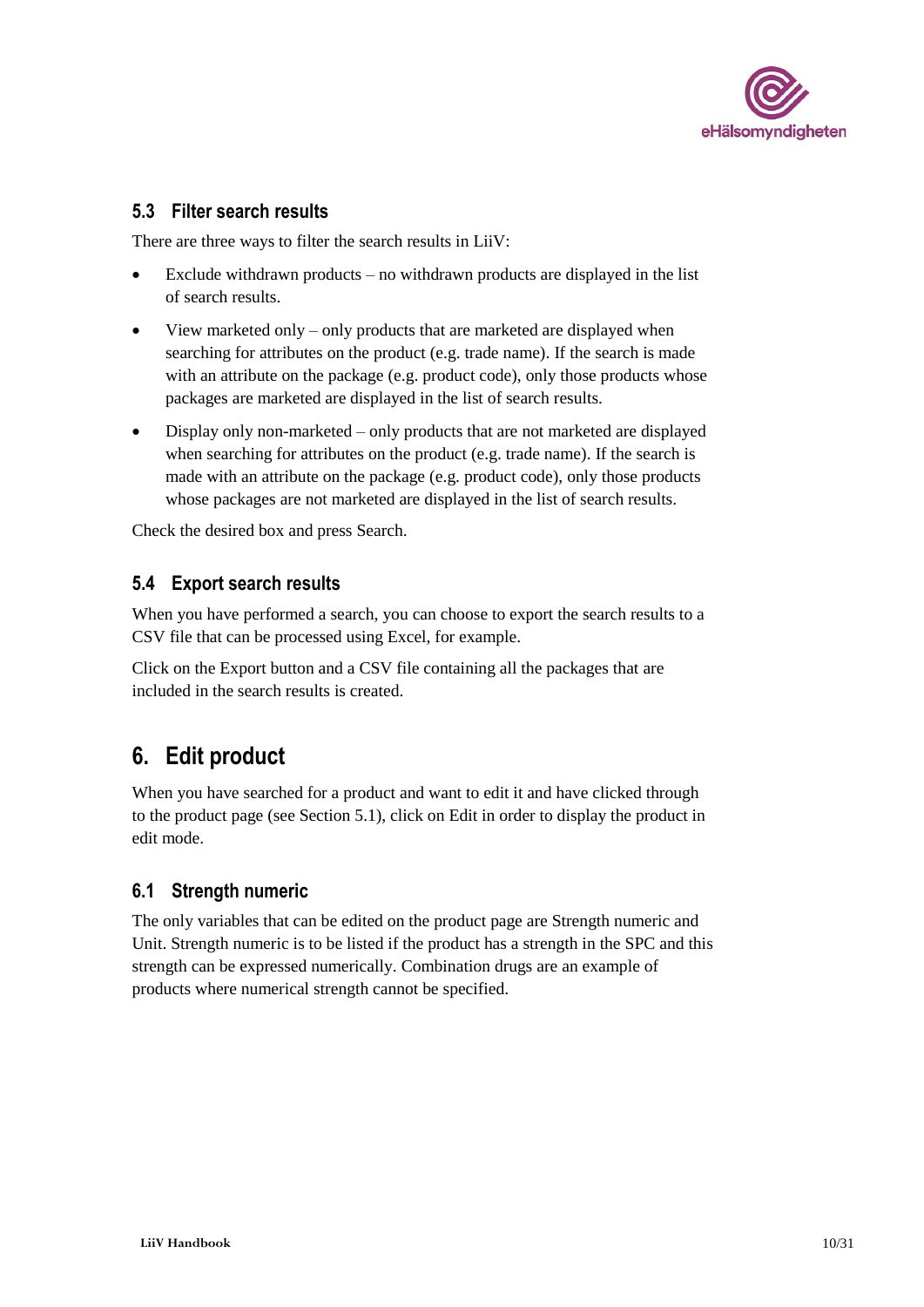

#### <span id="page-9-0"></span>**5.3 Filter search results**

There are three ways to filter the search results in LiiV:

- Exclude withdrawn products no withdrawn products are displayed in the list of search results.
- View marketed only only products that are marketed are displayed when searching for attributes on the product (e.g. trade name). If the search is made with an attribute on the package (e.g. product code), only those products whose packages are marketed are displayed in the list of search results.
- Display only non-marketed only products that are not marketed are displayed when searching for attributes on the product (e.g. trade name). If the search is made with an attribute on the package (e.g. product code), only those products whose packages are not marketed are displayed in the list of search results.

Check the desired box and press Search.

#### <span id="page-9-1"></span>**5.4 Export search results**

When you have performed a search, you can choose to export the search results to a CSV file that can be processed using Excel, for example.

Click on the Export button and a CSV file containing all the packages that are included in the search results is created.

## <span id="page-9-2"></span>**6. Edit product**

When you have searched for a product and want to edit it and have clicked through to the product page (see Section 5.1), click on Edit in order to display the product in edit mode.

#### <span id="page-9-3"></span>**6.1 Strength numeric**

The only variables that can be edited on the product page are Strength numeric and Unit. Strength numeric is to be listed if the product has a strength in the SPC and this strength can be expressed numerically. Combination drugs are an example of products where numerical strength cannot be specified.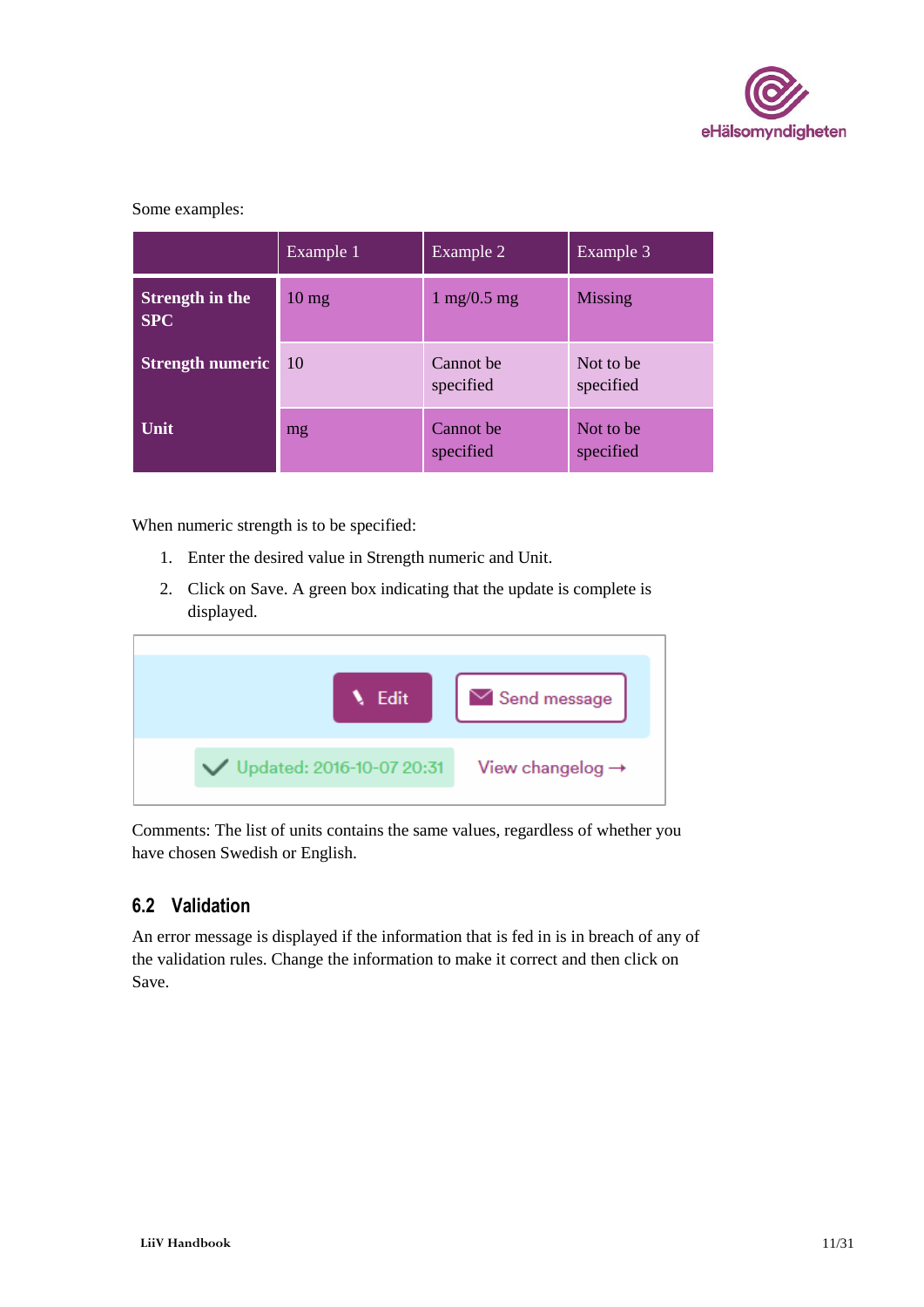

Some examples:

|                                      | Example 1       | Example 2                     | Example 3              |
|--------------------------------------|-----------------|-------------------------------|------------------------|
| <b>Strength in the</b><br><b>SPC</b> | $10 \text{ mg}$ | $1 \text{ mg}/0.5 \text{ mg}$ | <b>Missing</b>         |
| <b>Strength numeric</b>              | 10              | Cannot be<br>specified        | Not to be<br>specified |
| Unit                                 | mg              | Cannot be<br>specified        | Not to be<br>specified |

When numeric strength is to be specified:

- 1. Enter the desired value in Strength numeric and Unit.
- 2. Click on Save. A green box indicating that the update is complete is displayed.

| Edit                      | $\vee$ Send message          |
|---------------------------|------------------------------|
| Updated: 2016-10-07 20:31 | View changelog $\rightarrow$ |

Comments: The list of units contains the same values, regardless of whether you have chosen Swedish or English.

#### <span id="page-10-0"></span>**6.2 Validation**

An error message is displayed if the information that is fed in is in breach of any of the validation rules. Change the information to make it correct and then click on Save.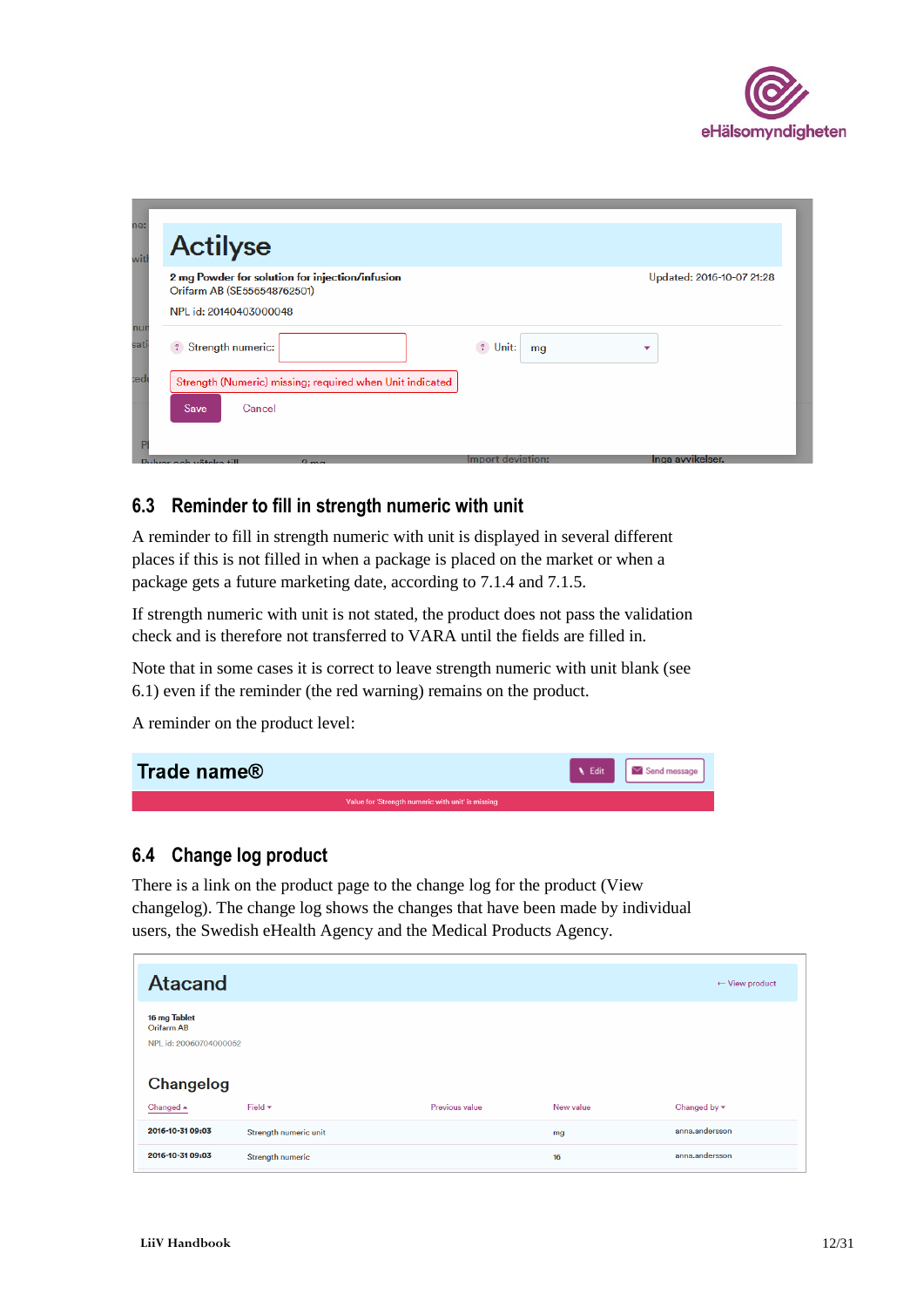

| ne:<br><b>Actilyse</b><br>witl                                                 |                           |
|--------------------------------------------------------------------------------|---------------------------|
| 2 mg Powder for solution for injection/infusion<br>Orifarm AB (SE556548762501) | Updated: 2016-10-07 21:28 |
| NPL id: 20140403000048                                                         |                           |
| nur<br>sati<br>? Strength numeric:<br>$\mathcal{R}$<br>Unit:<br>mg             | ▼                         |
| :ed<br>Strength (Numeric) missing; required when Unit indicated                |                           |
| Save<br>Cancel                                                                 |                           |
| Import deviation:<br><b>Pulsar ook väteko till</b><br>$Q_{max}$                | Inga avvikelser.          |

#### <span id="page-11-0"></span>**6.3 Reminder to fill in strength numeric with unit**

A reminder to fill in strength numeric with unit is displayed in several different places if this is not filled in when a package is placed on the market or when a package gets a future marketing date, according to 7.1.4 and 7.1.5.

If strength numeric with unit is not stated, the product does not pass the validation check and is therefore not transferred to VARA until the fields are filled in.

Note that in some cases it is correct to leave strength numeric with unit blank (see 6.1) even if the reminder (the red warning) remains on the product.

A reminder on the product level:

| Trade name® |                                                   | <b>N</b> Edit | $\sum$ Send message |
|-------------|---------------------------------------------------|---------------|---------------------|
|             | Value for 'Strength numeric with unit' is missing |               |                     |

#### <span id="page-11-1"></span>**6.4 Change log product**

There is a link on the product page to the change log for the product (View changelog). The change log shows the changes that have been made by individual users, the Swedish eHealth Agency and the Medical Products Agency.

| <b>Atacand</b>                                       |                       |                |           | $\leftarrow$ View product       |
|------------------------------------------------------|-----------------------|----------------|-----------|---------------------------------|
| 16 mg Tablet<br>Orifarm AB<br>NPL id: 20060704000052 |                       |                |           |                                 |
| Changelog                                            |                       |                |           |                                 |
| Changed $\triangle$                                  | Field $\star$         | Previous value | New value | Changed by $\blacktriangledown$ |
| 2016-10-31 09:03                                     | Strength numeric unit |                | mg        | anna.andersson                  |
| 2016-10-31 09:03                                     | Strength numeric      |                | 16        | anna.andersson                  |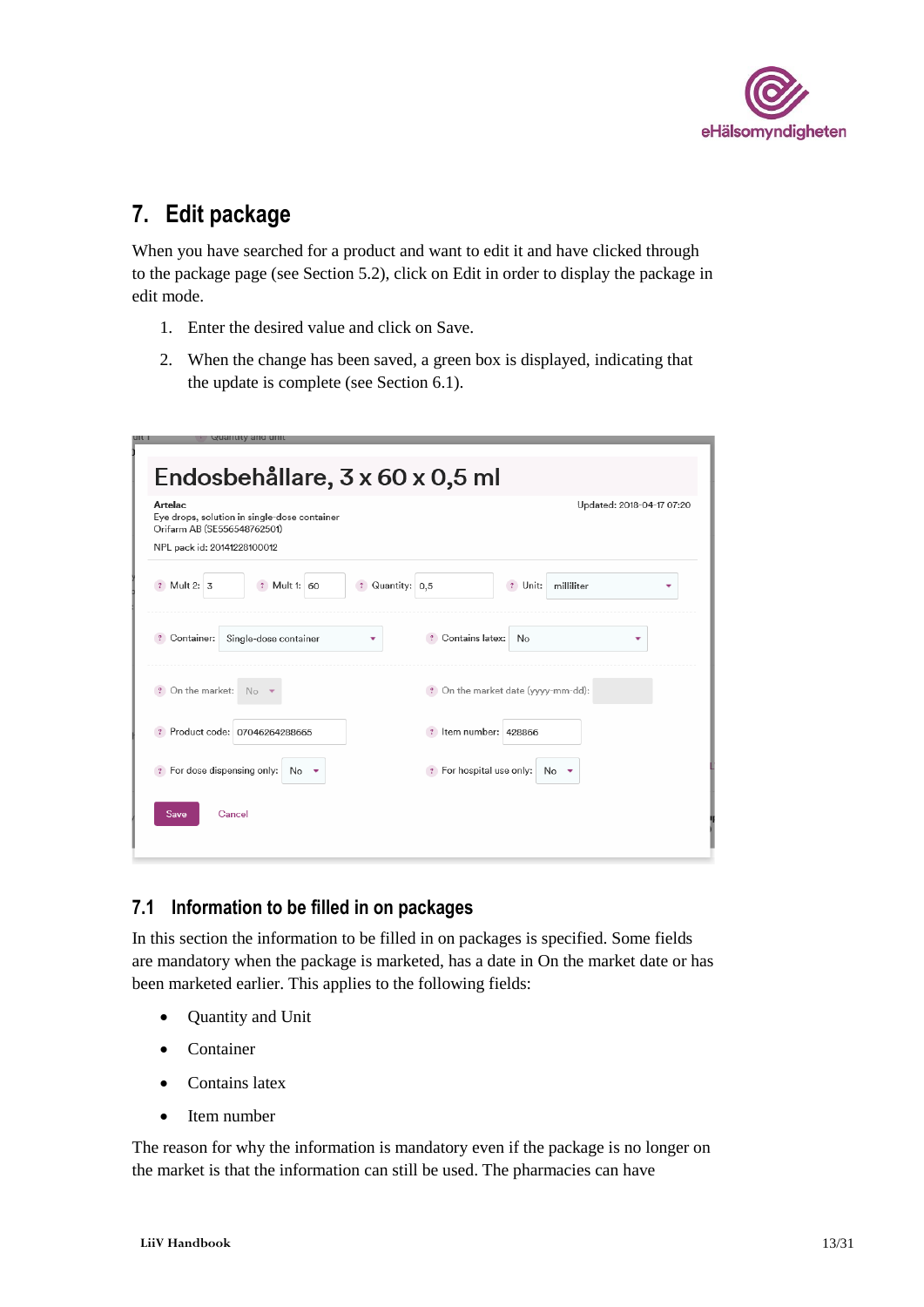

## <span id="page-12-0"></span>**7. Edit package**

When you have searched for a product and want to edit it and have clicked through to the package page (see Section 5.2), click on Edit in order to display the package in edit mode.

- 1. Enter the desired value and click on Save.
- 2. When the change has been saved, a green box is displayed, indicating that the update is complete (see Section 6.1).

| <b>Artelac</b><br>Eye drops, solution in single-dose container<br>Orifarm AB (SE556548762501) | Updated: 2018-04-17 07:20                         |
|-----------------------------------------------------------------------------------------------|---------------------------------------------------|
| NPL pack id: 20141228100012<br>? Mult 2: 3<br>$?$ Mult 1: 60                                  | ? Quantity: 0,5<br>$?$ Unit:<br>milliliter<br>٠   |
| Container:<br>Single-dose container<br>$\frac{9}{2}$                                          | Contains latex:<br>No                             |
| On the market: No<br>$\mathcal{L}$                                                            | On the market date (yyyy-mm-dd):<br>$\mathcal{R}$ |
| ? Product code: 07046264288665                                                                | ? Item number: 428866                             |
| ? For dose dispensing only:<br>No<br>$\overline{\mathbf{v}}$                                  | ? For hospital use only:<br>No $\sim$             |

## <span id="page-12-1"></span>**7.1 Information to be filled in on packages**

In this section the information to be filled in on packages is specified. Some fields are mandatory when the package is marketed, has a date in On the market date or has been marketed earlier. This applies to the following fields:

- Quantity and Unit
- Container
- Contains latex
- Item number

The reason for why the information is mandatory even if the package is no longer on the market is that the information can still be used. The pharmacies can have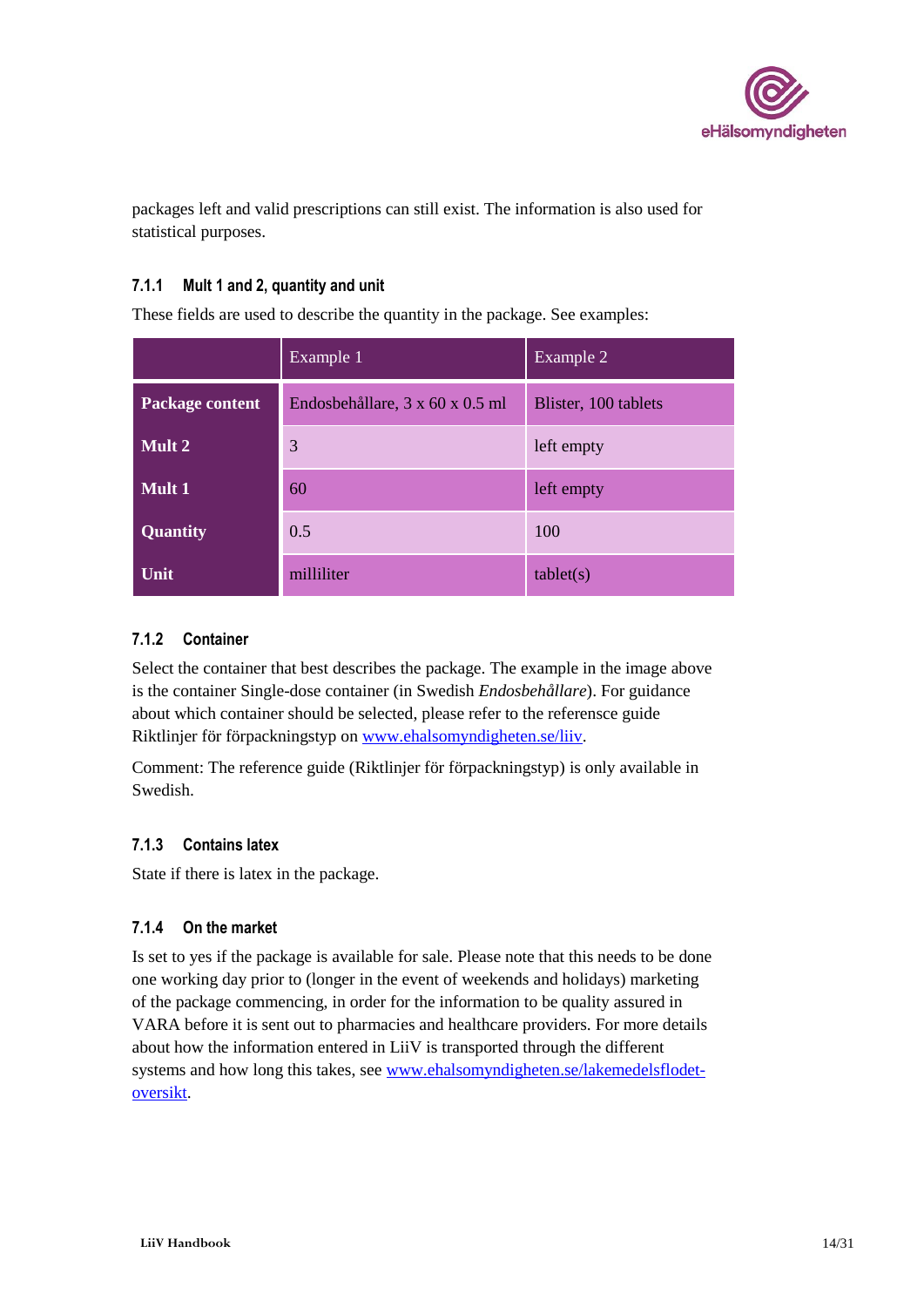

packages left and valid prescriptions can still exist. The information is also used for statistical purposes.

#### <span id="page-13-0"></span>**7.1.1 Mult 1 and 2, quantity and unit**

These fields are used to describe the quantity in the package. See examples:

|                        | Example 1                       | Example 2            |
|------------------------|---------------------------------|----------------------|
| <b>Package content</b> | Endosbehållare, 3 x 60 x 0.5 ml | Blister, 100 tablets |
| Mult 2                 | 3                               | left empty           |
| Mult 1                 | 60                              | left empty           |
| <b>Quantity</b>        | 0.5                             | 100                  |
| Unit                   | milliliter                      | table(s)             |

#### <span id="page-13-1"></span>**7.1.2 Container**

Select the container that best describes the package. The example in the image above is the container Single-dose container (in Swedish *Endosbehållare*). For guidance about which container should be selected, please refer to the referensce guide Riktlinjer för förpackningstyp on [www.ehalsomyndigheten.se/liiv.](http://www.ehalsomyndigheten.se/liiv)

Comment: The reference guide (Riktlinjer för förpackningstyp) is only available in Swedish.

#### <span id="page-13-2"></span>**7.1.3 Contains latex**

State if there is latex in the package.

#### <span id="page-13-3"></span>**7.1.4 On the market**

Is set to yes if the package is available for sale. Please note that this needs to be done one working day prior to (longer in the event of weekends and holidays) marketing of the package commencing, in order for the information to be quality assured in VARA before it is sent out to pharmacies and healthcare providers. For more details about how the information entered in LiiV is transported through the different systems and how long this takes, see [www.ehalsomyndigheten.se/lakemedelsflodet](http://www.ehalsomyndigheten.se/lakemedelsflodet-oversikt)[oversikt.](http://www.ehalsomyndigheten.se/lakemedelsflodet-oversikt)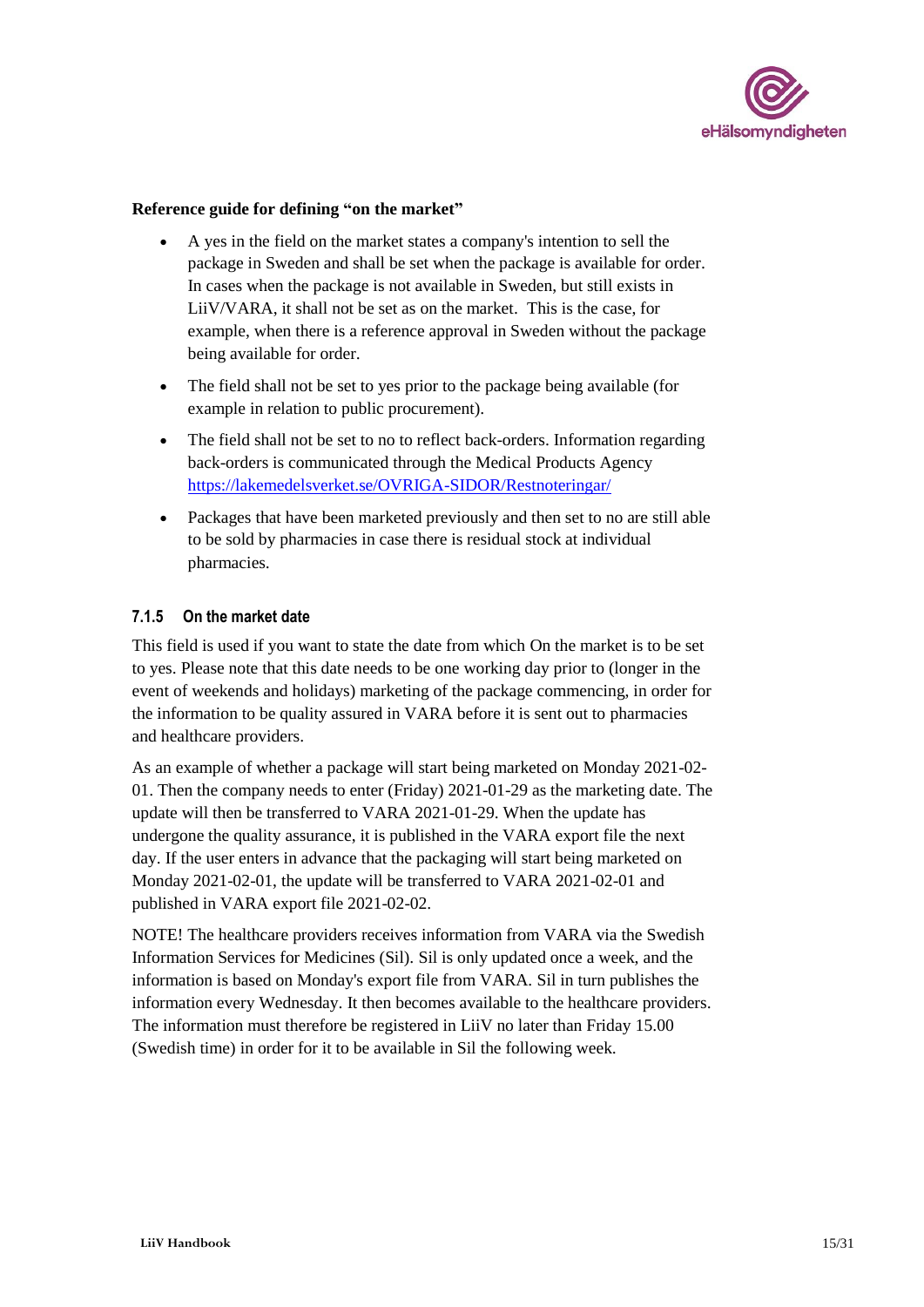

#### **Reference guide for defining "on the market"**

- A yes in the field on the market states a company's intention to sell the package in Sweden and shall be set when the package is available for order. In cases when the package is not available in Sweden, but still exists in LiiV/VARA, it shall not be set as on the market. This is the case, for example, when there is a reference approval in Sweden without the package being available for order.
- The field shall not be set to yes prior to the package being available (for example in relation to public procurement).
- The field shall not be set to no to reflect back-orders. Information regarding back-orders is communicated through the Medical Products Agency <https://lakemedelsverket.se/OVRIGA-SIDOR/Restnoteringar/>
- Packages that have been marketed previously and then set to no are still able to be sold by pharmacies in case there is residual stock at individual pharmacies.

#### <span id="page-14-0"></span>**7.1.5 On the market date**

This field is used if you want to state the date from which On the market is to be set to yes. Please note that this date needs to be one working day prior to (longer in the event of weekends and holidays) marketing of the package commencing, in order for the information to be quality assured in VARA before it is sent out to pharmacies and healthcare providers.

As an example of whether a package will start being marketed on Monday 2021-02- 01. Then the company needs to enter (Friday) 2021-01-29 as the marketing date. The update will then be transferred to VARA 2021-01-29. When the update has undergone the quality assurance, it is published in the VARA export file the next day. If the user enters in advance that the packaging will start being marketed on Monday 2021-02-01, the update will be transferred to VARA 2021-02-01 and published in VARA export file 2021-02-02.

NOTE! The healthcare providers receives information from VARA via the Swedish Information Services for Medicines (Sil). Sil is only updated once a week, and the information is based on Monday's export file from VARA. Sil in turn publishes the information every Wednesday. It then becomes available to the healthcare providers. The information must therefore be registered in LiiV no later than Friday 15.00 (Swedish time) in order for it to be available in Sil the following week.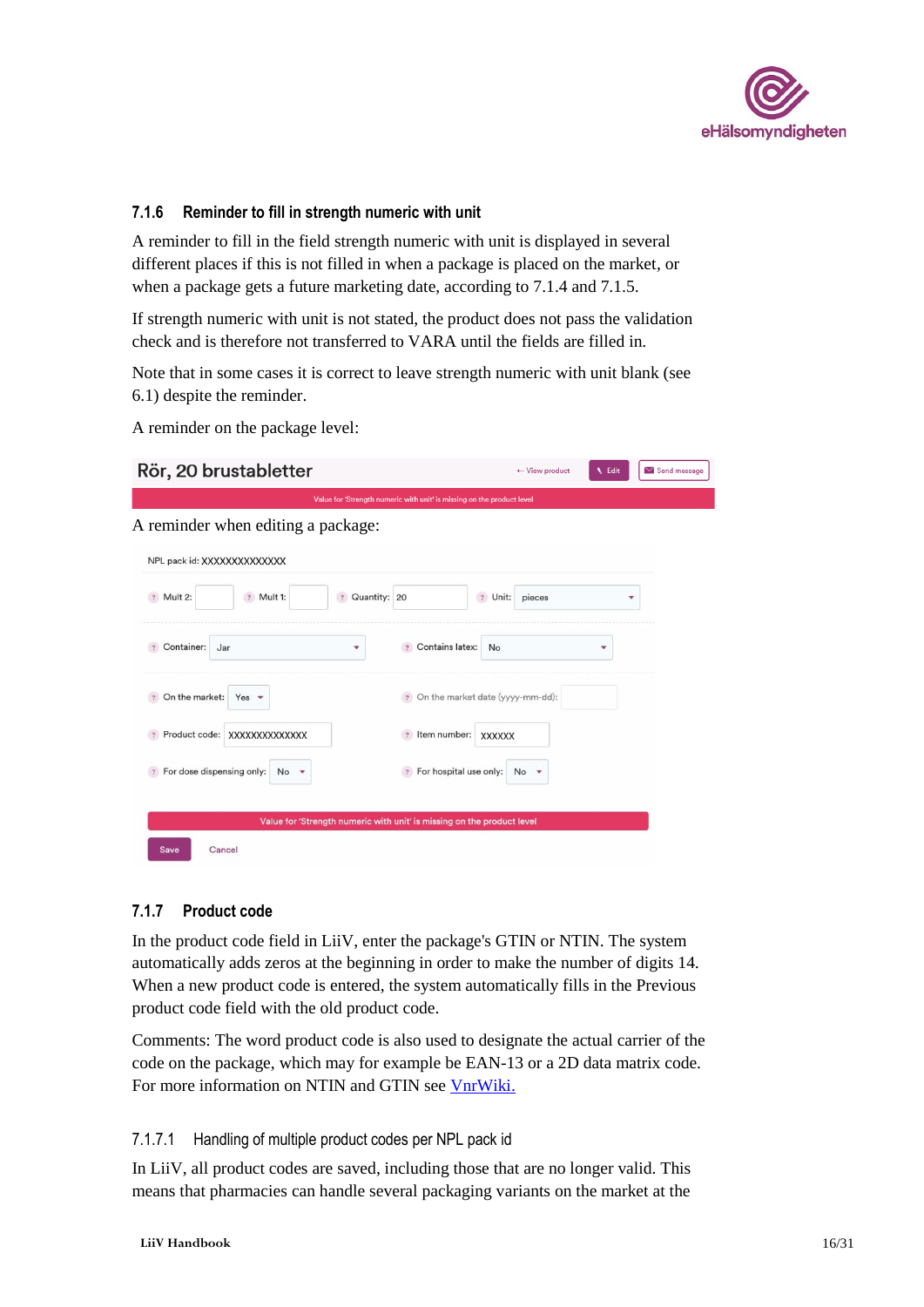

#### <span id="page-15-0"></span>**7.1.6 Reminder to fill in strength numeric with unit**

A reminder to fill in the field strength numeric with unit is displayed in several different places if this is not filled in when a package is placed on the market, or when a package gets a future marketing date, according to 7.1.4 and 7.1.5.

If strength numeric with unit is not stated, the product does not pass the validation check and is therefore not transferred to VARA until the fields are filled in.

Note that in some cases it is correct to leave strength numeric with unit blank (see 6.1) despite the reminder.

A reminder on the package level:

#### Rör, 20 brustabletter  $\sqrt{\phantom{a}}$  Edit  $\vee$  Send message ← View produc Value for 'Strength numeric with unit' is missing on the product le<mark>v</mark>el A reminder when editing a package: NPL pack id: XXXXXXXXXXXXX ? Mult 2:  $2$  Mult 1: ? Quantity: 20  $?$  Unit: pieces 2 Container: Jan v 2 Contains latex: No  $\ddot{}$ ? On the market: Yes ? On the market date (yyyy-mm-dd): ? Product code: XXXXXXXXXXXXX ? Item number: XXXXXX ? For dose dispensing only: No ? For hospital use only: No Value for 'Strength numeric with unit' is missing on the product let Cancel Save

#### <span id="page-15-1"></span>**7.1.7 Product code**

In the product code field in LiiV, enter the package's GTIN or NTIN. The system automatically adds zeros at the beginning in order to make the number of digits 14. When a new product code is entered, the system automatically fills in the Previous product code field with the old product code.

Comments: The word product code is also used to designate the actual carrier of the code on the package, which may for example be EAN-13 or a 2D data matrix code. For more information on NTIN and GTIN see [VnrWiki.](http://wiki.vnr.fi/?page_id=1671)

7.1.7.1 Handling of multiple product codes per NPL pack id

In LiiV, all product codes are saved, including those that are no longer valid. This means that pharmacies can handle several packaging variants on the market at the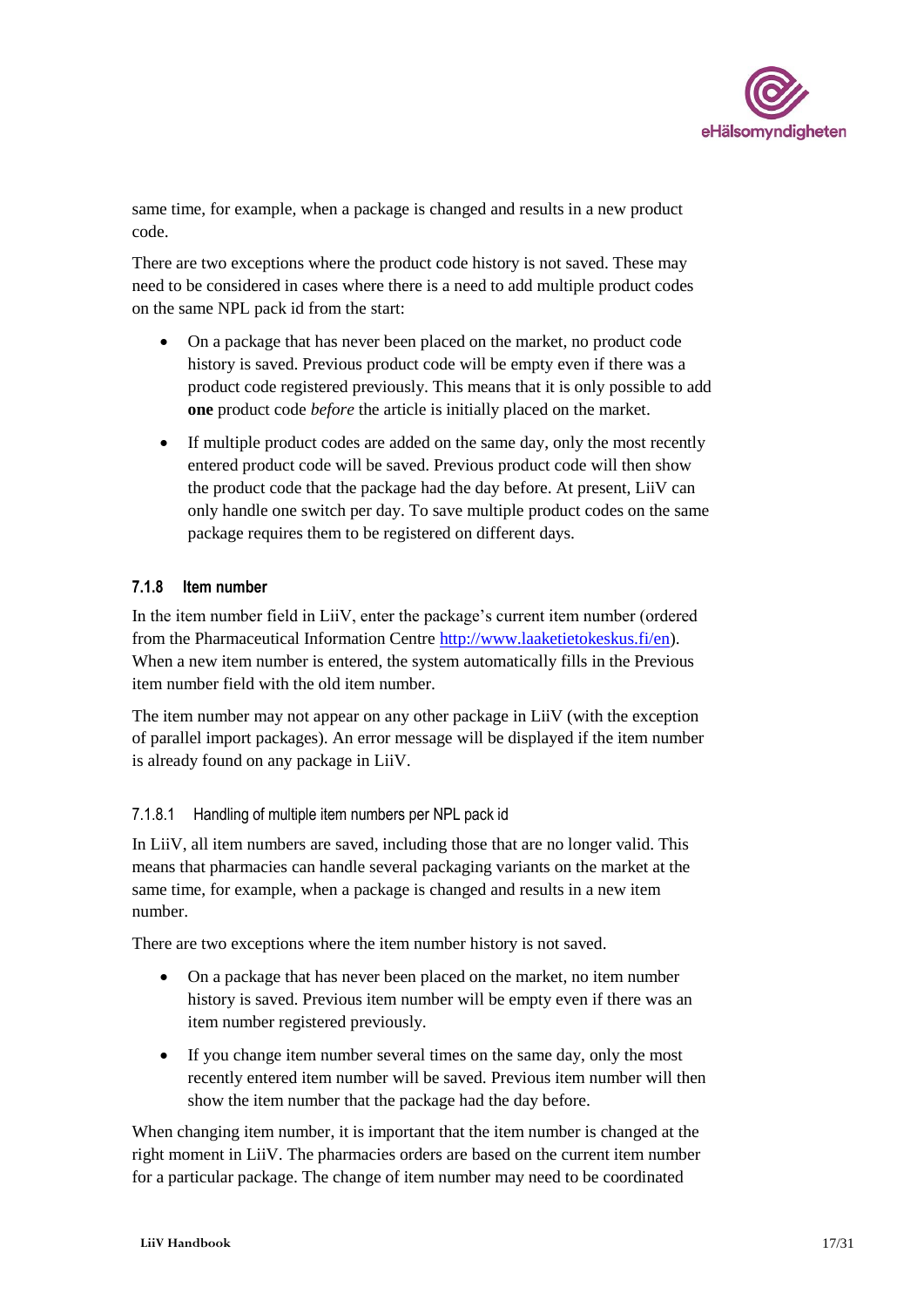

same time, for example, when a package is changed and results in a new product code.

There are two exceptions where the product code history is not saved. These may need to be considered in cases where there is a need to add multiple product codes on the same NPL pack id from the start:

- On a package that has never been placed on the market, no product code history is saved. Previous product code will be empty even if there was a product code registered previously. This means that it is only possible to add **one** product code *before* the article is initially placed on the market.
- If multiple product codes are added on the same day, only the most recently entered product code will be saved. Previous product code will then show the product code that the package had the day before. At present, LiiV can only handle one switch per day. To save multiple product codes on the same package requires them to be registered on different days.

#### <span id="page-16-0"></span>**7.1.8 Item number**

In the item number field in LiiV, enter the package's current item number (ordered from the Pharmaceutical Information Centre [http://www.laaketietokeskus.fi/en\)](http://www.laaketietokeskus.fi/en). When a new item number is entered, the system automatically fills in the Previous item number field with the old item number.

The item number may not appear on any other package in LiiV (with the exception of parallel import packages). An error message will be displayed if the item number is already found on any package in LiiV.

#### 7.1.8.1 Handling of multiple item numbers per NPL pack id

In LiiV, all item numbers are saved, including those that are no longer valid. This means that pharmacies can handle several packaging variants on the market at the same time, for example, when a package is changed and results in a new item number.

There are two exceptions where the item number history is not saved.

- On a package that has never been placed on the market, no item number history is saved. Previous item number will be empty even if there was an item number registered previously.
- If you change item number several times on the same day, only the most recently entered item number will be saved. Previous item number will then show the item number that the package had the day before.

When changing item number, it is important that the item number is changed at the right moment in LiiV. The pharmacies orders are based on the current item number for a particular package. The change of item number may need to be coordinated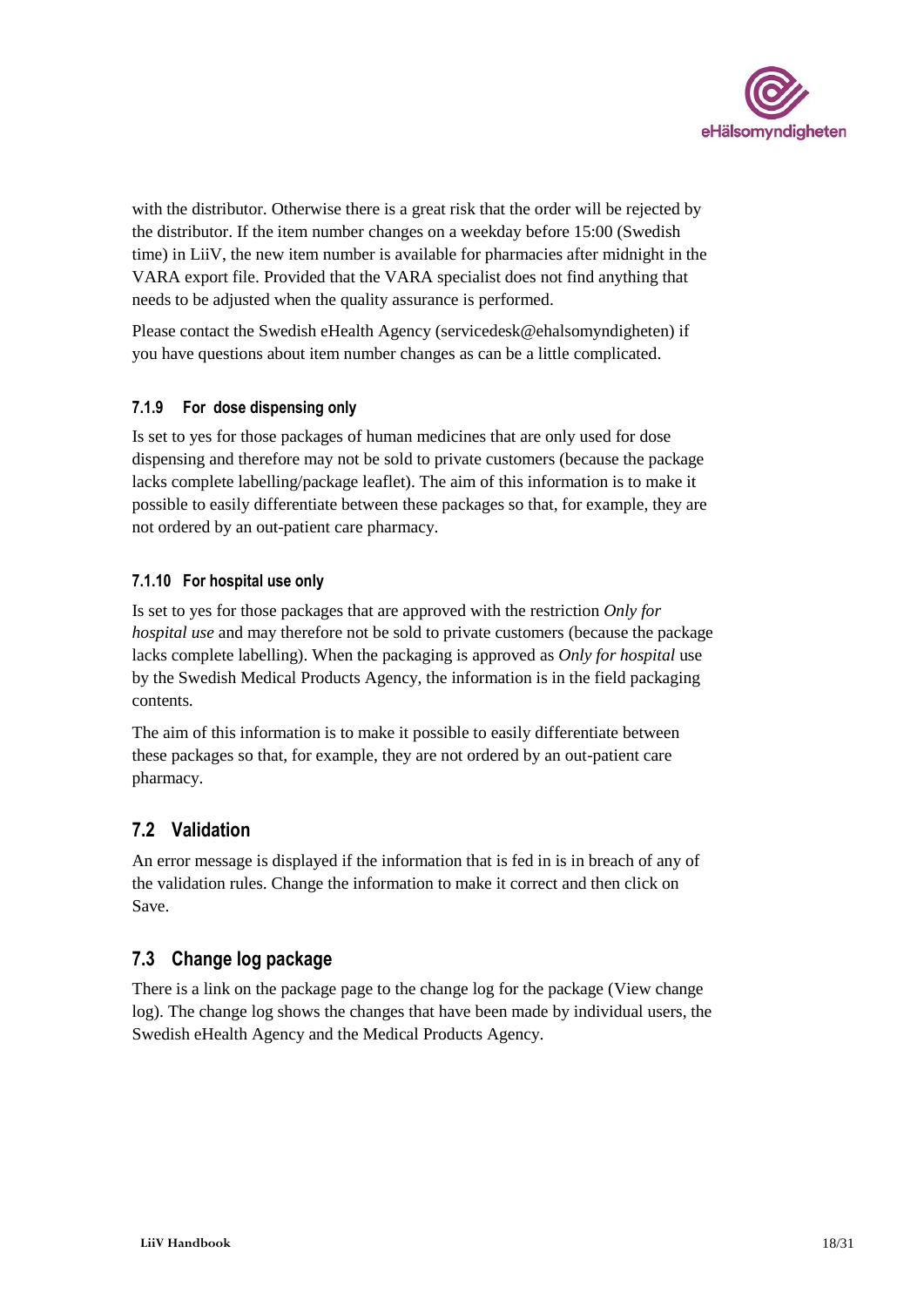

with the distributor. Otherwise there is a great risk that the order will be rejected by the distributor. If the item number changes on a weekday before 15:00 (Swedish time) in LiiV, the new item number is available for pharmacies after midnight in the VARA export file. Provided that the VARA specialist does not find anything that needs to be adjusted when the quality assurance is performed.

Please contact the Swedish eHealth Agency (servicedesk@ehalsomyndigheten) if you have questions about item number changes as can be a little complicated.

#### <span id="page-17-0"></span>**7.1.9 For dose dispensing only**

Is set to yes for those packages of human medicines that are only used for dose dispensing and therefore may not be sold to private customers (because the package lacks complete labelling/package leaflet). The aim of this information is to make it possible to easily differentiate between these packages so that, for example, they are not ordered by an out-patient care pharmacy.

#### <span id="page-17-1"></span>**7.1.10 For hospital use only**

Is set to yes for those packages that are approved with the restriction *Only for hospital use* and may therefore not be sold to private customers (because the package lacks complete labelling). When the packaging is approved as *Only for hospital* use by the Swedish Medical Products Agency, the information is in the field packaging contents.

The aim of this information is to make it possible to easily differentiate between these packages so that, for example, they are not ordered by an out-patient care pharmacy.

## <span id="page-17-2"></span>**7.2 Validation**

An error message is displayed if the information that is fed in is in breach of any of the validation rules. Change the information to make it correct and then click on Save.

#### <span id="page-17-3"></span>**7.3 Change log package**

There is a link on the package page to the change log for the package (View change log). The change log shows the changes that have been made by individual users, the Swedish eHealth Agency and the Medical Products Agency.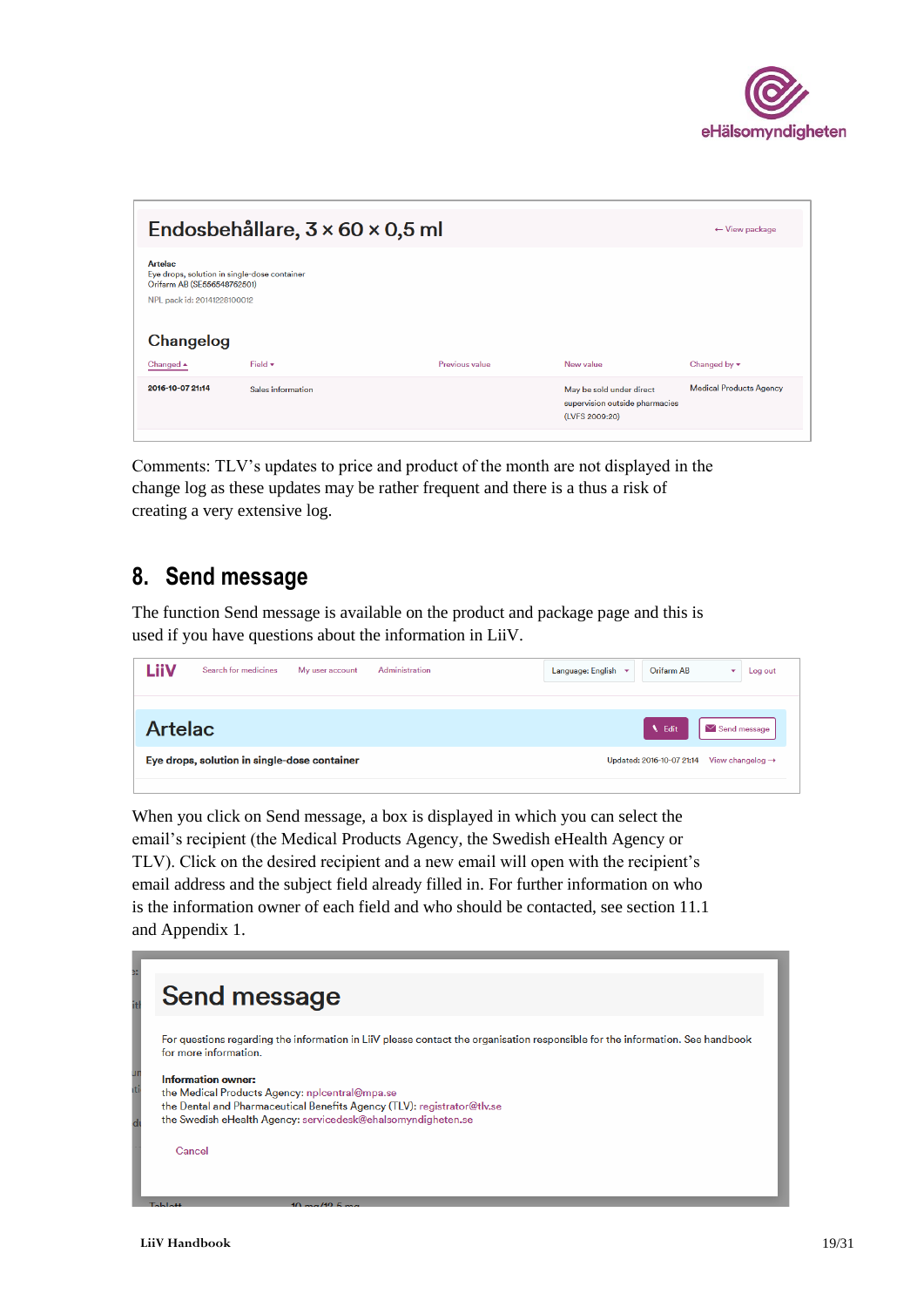

| Endosbehållare, $3 \times 60 \times 0,5$ ml<br>$\leftarrow$ View package                                                     |                            |                |                                                                              |                                 |
|------------------------------------------------------------------------------------------------------------------------------|----------------------------|----------------|------------------------------------------------------------------------------|---------------------------------|
| <b>Artelac</b><br>Eye drops, solution in single-dose container<br>Orifarm AB (SE556548762501)<br>NPL pack id: 20141228100012 |                            |                |                                                                              |                                 |
| Changelog                                                                                                                    |                            |                |                                                                              |                                 |
| Changed $\triangle$                                                                                                          | Field $\blacktriangledown$ | Previous value | New value                                                                    | Changed by $\blacktriangledown$ |
| 2016-10-07 21:14                                                                                                             | Sales information          |                | May be sold under direct<br>supervision outside pharmacies<br>(LVFS 2009:20) | <b>Medical Products Agency</b>  |

Comments: TLV's updates to price and product of the month are not displayed in the change log as these updates may be rather frequent and there is a thus a risk of creating a very extensive log.

## <span id="page-18-0"></span>**8. Send message**

The function Send message is available on the product and package page and this is used if you have questions about the information in LiiV.



When you click on Send message, a box is displayed in which you can select the email's recipient (the Medical Products Agency, the Swedish eHealth Agency or TLV). Click on the desired recipient and a new email will open with the recipient's email address and the subject field already filled in. For further information on who is the information owner of each field and who should be contacted, see section 11.1 and Appendix 1.

|                       | Send message                                                                                                                                                                              |
|-----------------------|-------------------------------------------------------------------------------------------------------------------------------------------------------------------------------------------|
| for more information. | For questions regarding the information in LiiV please contact the organisation responsible for the information. See handbook                                                             |
| Information owner:    | the Medical Products Agency: nplcentral@mpa.se<br>the Dental and Pharmaceutical Benefits Agency (TLV): registrator@tlv.se<br>the Swedish eHealth Agency: servicedesk@ehalsomyndigheten.se |
| Cancel                |                                                                                                                                                                                           |
|                       |                                                                                                                                                                                           |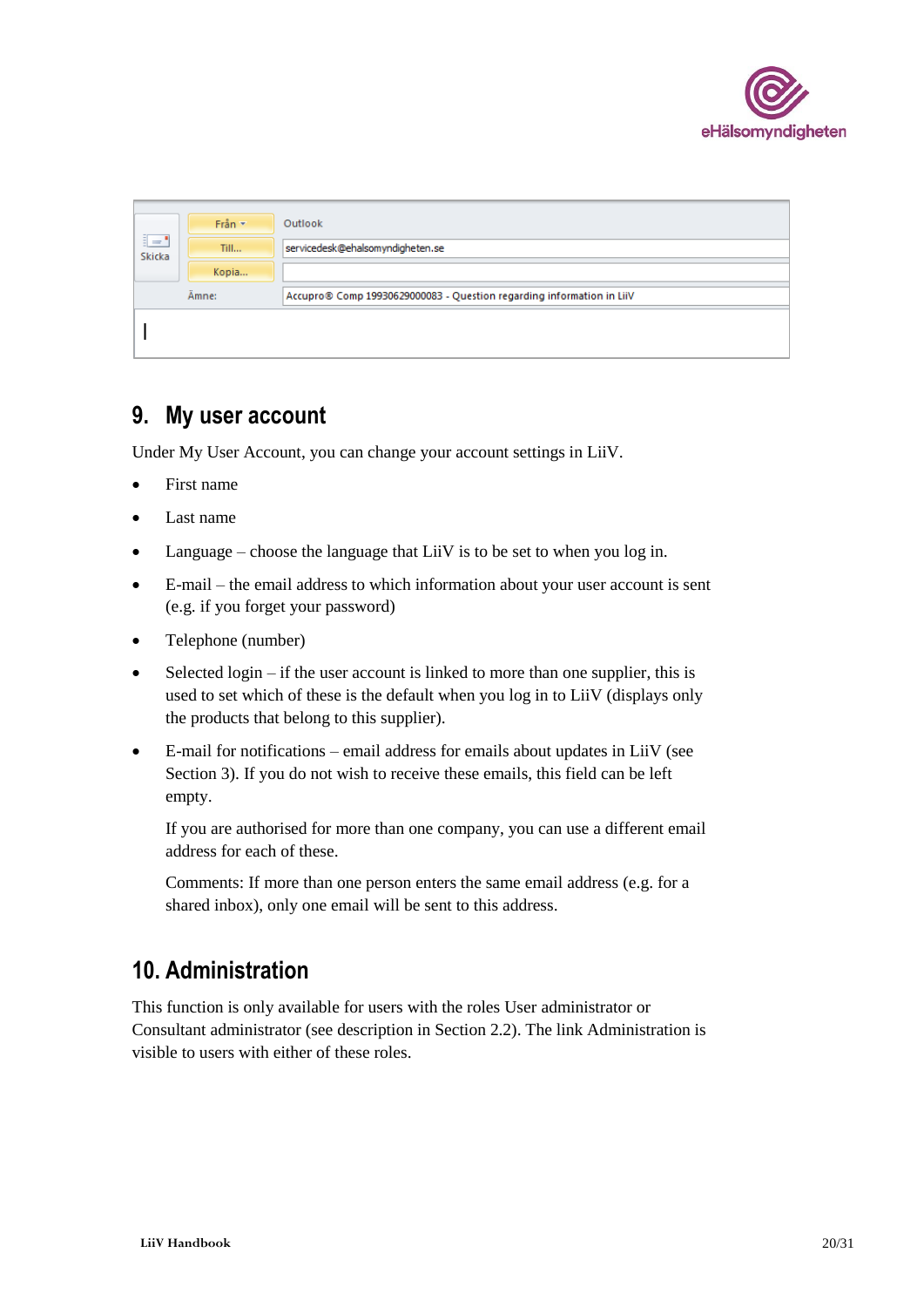

| $\overline{a}$<br>Skicka | Från $\tau$<br>Till | Outlook<br>servicedesk@ehalsomyndigheten.se                           |
|--------------------------|---------------------|-----------------------------------------------------------------------|
|                          | Kopia               |                                                                       |
|                          | Ämne:               | Accupro® Comp 19930629000083 - Question regarding information in LiiV |
|                          |                     |                                                                       |

## <span id="page-19-0"></span>**9. My user account**

Under My User Account, you can change your account settings in LiiV.

- First name
- Last name
- Language choose the language that LiiV is to be set to when you log in.
- E-mail the email address to which information about your user account is sent (e.g. if you forget your password)
- Telephone (number)
- Selected login if the user account is linked to more than one supplier, this is used to set which of these is the default when you log in to LiiV (displays only the products that belong to this supplier).
- E-mail for notifications email address for emails about updates in LiiV (see Section 3). If you do not wish to receive these emails, this field can be left empty.

If you are authorised for more than one company, you can use a different email address for each of these.

Comments: If more than one person enters the same email address (e.g. for a shared inbox), only one email will be sent to this address.

## <span id="page-19-1"></span>**10. Administration**

This function is only available for users with the roles User administrator or Consultant administrator (see description in Section 2.2). The link Administration is visible to users with either of these roles.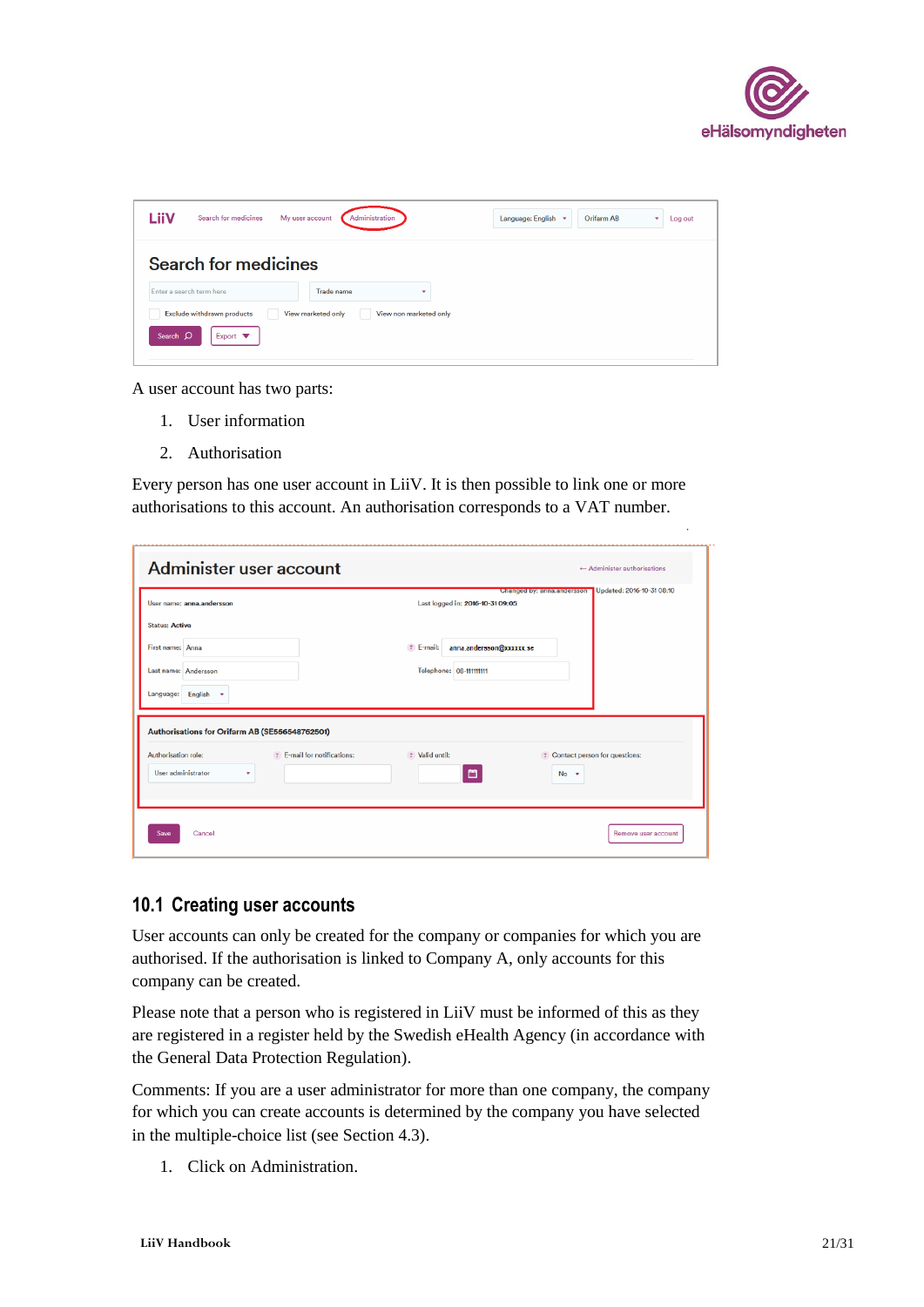

| .iiV<br>Administration<br>Search for medicines<br>My user account                                                                | Orifarm AB<br>Language: English *<br>Log out<br>۰ |
|----------------------------------------------------------------------------------------------------------------------------------|---------------------------------------------------|
| <b>Search for medicines</b>                                                                                                      |                                                   |
| Enter a search term here<br><b>Trade name</b><br>٠<br>View marketed only<br>Exclude withdrawn products<br>View non marketed only |                                                   |
| Search Q<br>Export $\blacktriangledown$                                                                                          |                                                   |

A user account has two parts:

- 1. User information
- 2. Authorisation

Every person has one user account in LiiV. It is then possible to link one or more authorisations to this account. An authorisation corresponds to a VAT number.

| User name: anna.andersson                                     | Last logged in: 2016-10-31 09:05       | Updated: 2016-10-31 08:10<br>Changed by: anna.andersson |
|---------------------------------------------------------------|----------------------------------------|---------------------------------------------------------|
| <b>Status: Active</b>                                         |                                        |                                                         |
| First name: Anna                                              | anna.andersson@xxxxxx.se<br>$E$ -mail: |                                                         |
| Last name: Andersson                                          | Telephone: 08-11111111                 |                                                         |
| English<br>Language:<br>٠                                     |                                        |                                                         |
| Authorisations for Orifarm AB (SE556548762501)                |                                        |                                                         |
| <sup>2</sup> E-mail for notifications:<br>Authorisation role: | * Valid until:                         | : Contact person for questions:                         |
|                                                               | 鱼                                      | $No -+$                                                 |
| User administrator<br>٠                                       |                                        |                                                         |
|                                                               |                                        |                                                         |

#### <span id="page-20-0"></span>**10.1 Creating user accounts**

User accounts can only be created for the company or companies for which you are authorised. If the authorisation is linked to Company A, only accounts for this company can be created.

Please note that a person who is registered in LiiV must be informed of this as they are registered in a register held by the Swedish eHealth Agency (in accordance with the General Data Protection Regulation).

Comments: If you are a user administrator for more than one company, the company for which you can create accounts is determined by the company you have selected in the multiple-choice list (see Section 4.3).

1. Click on Administration.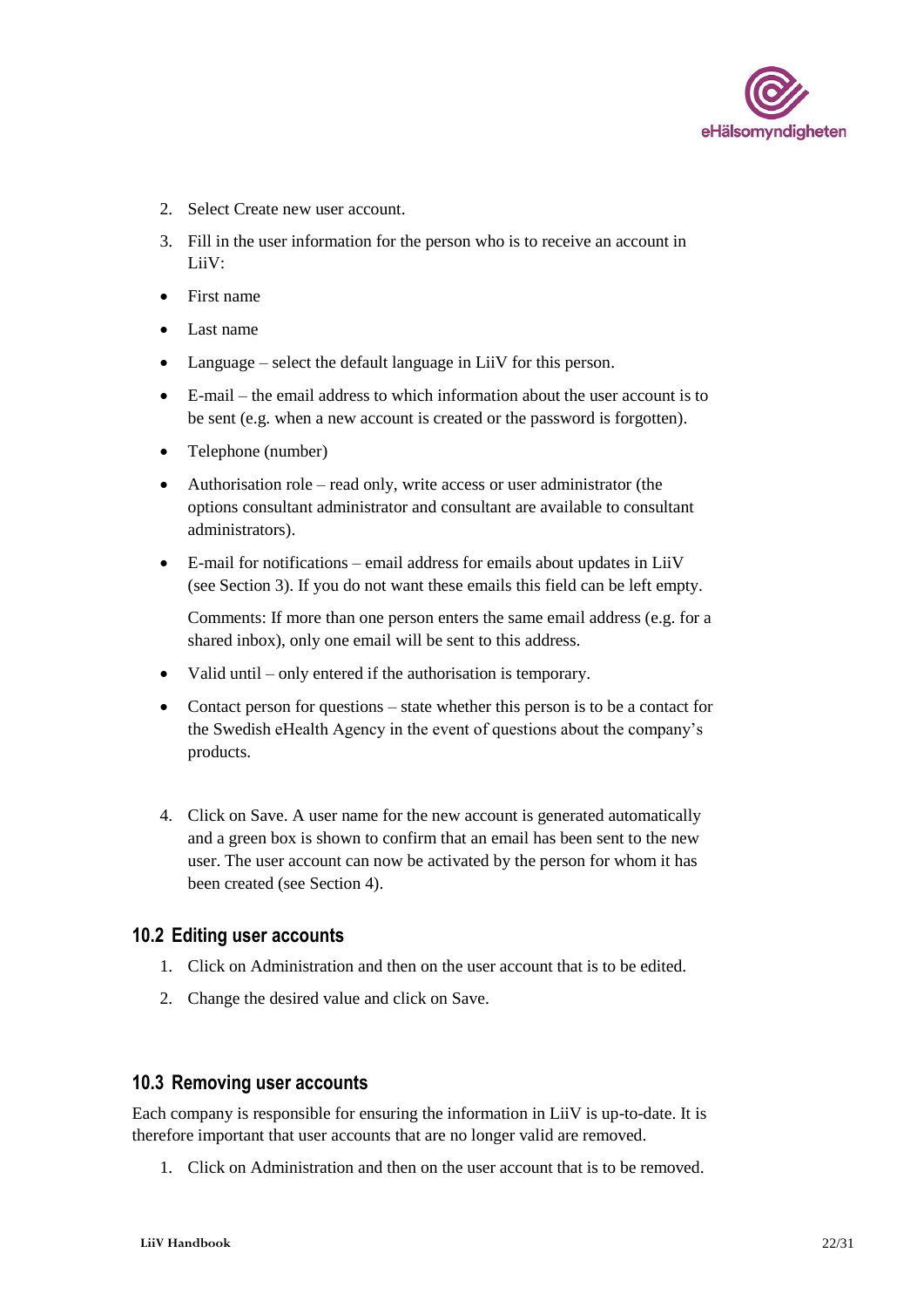

- 2. Select Create new user account.
- 3. Fill in the user information for the person who is to receive an account in LiiV:
- First name
- Last name
- Language select the default language in LiiV for this person.
- E-mail the email address to which information about the user account is to be sent (e.g. when a new account is created or the password is forgotten).
- Telephone (number)
- Authorisation role read only, write access or user administrator (the options consultant administrator and consultant are available to consultant administrators).
- E-mail for notifications email address for emails about updates in LiiV (see Section 3). If you do not want these emails this field can be left empty.

Comments: If more than one person enters the same email address (e.g. for a shared inbox), only one email will be sent to this address.

- Valid until only entered if the authorisation is temporary.
- Contact person for questions state whether this person is to be a contact for the Swedish eHealth Agency in the event of questions about the company's products.
- 4. Click on Save. A user name for the new account is generated automatically and a green box is shown to confirm that an email has been sent to the new user. The user account can now be activated by the person for whom it has been created (see Section 4).

#### <span id="page-21-0"></span>**10.2 Editing user accounts**

- 1. Click on Administration and then on the user account that is to be edited.
- 2. Change the desired value and click on Save.

#### <span id="page-21-1"></span>**10.3 Removing user accounts**

Each company is responsible for ensuring the information in LiiV is up-to-date. It is therefore important that user accounts that are no longer valid are removed.

1. Click on Administration and then on the user account that is to be removed.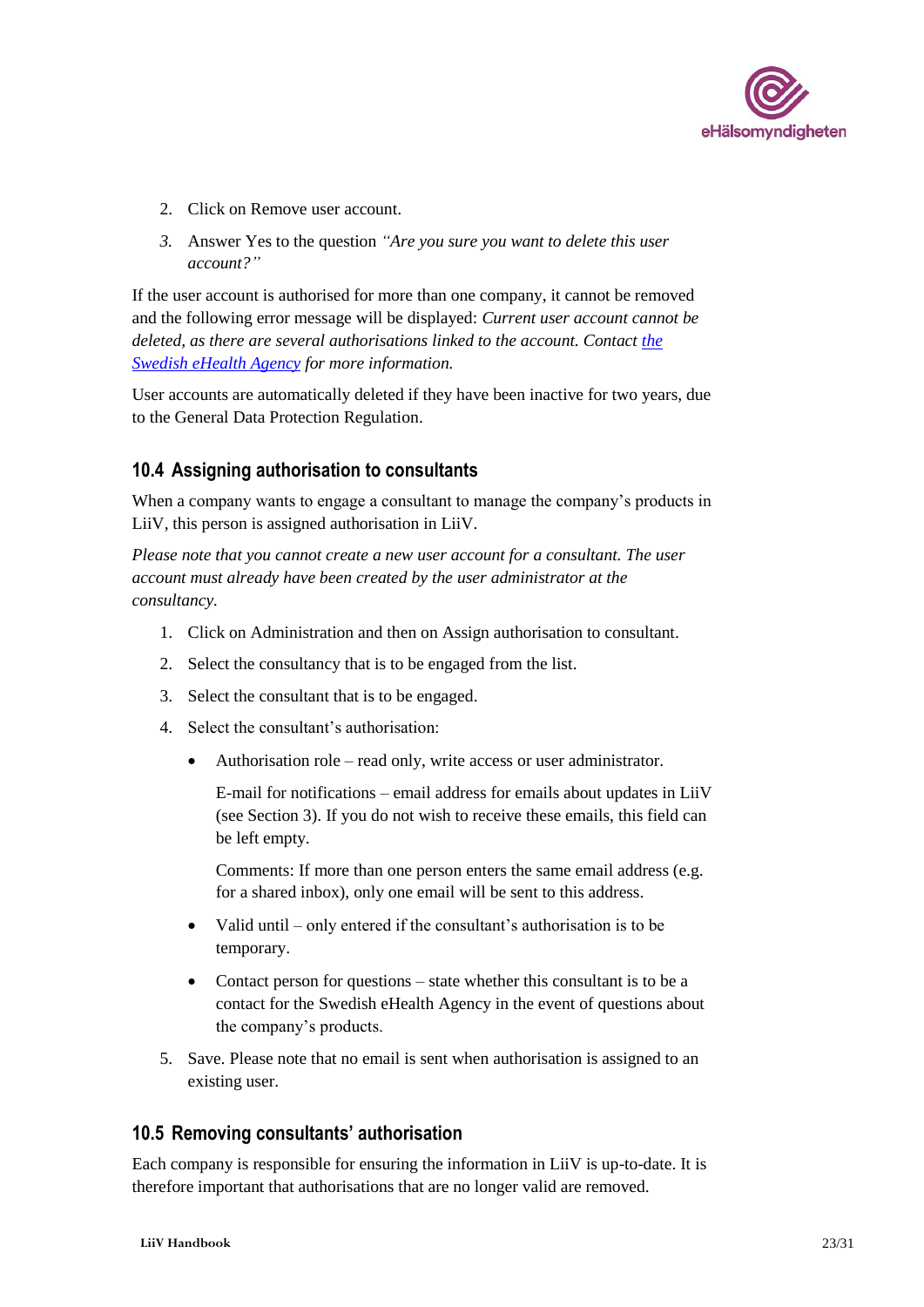

- 2. Click on Remove user account.
- *3.* Answer Yes to the question *"Are you sure you want to delete this user account?"*

If the user account is authorised for more than one company, it cannot be removed and the following error message will be displayed: *Current user account cannot be deleted, as there are several authorisations linked to the account. Contact [the](mailto:%20servicedesk@ehalsomyndigheten.se)  [Swedish eHealth Agency](mailto:%20servicedesk@ehalsomyndigheten.se) for more information.*

User accounts are automatically deleted if they have been inactive for two years, due to the General Data Protection Regulation.

#### <span id="page-22-0"></span>**10.4 Assigning authorisation to consultants**

When a company wants to engage a consultant to manage the company's products in LiiV, this person is assigned authorisation in LiiV.

*Please note that you cannot create a new user account for a consultant. The user account must already have been created by the user administrator at the consultancy.*

- 1. Click on Administration and then on Assign authorisation to consultant.
- 2. Select the consultancy that is to be engaged from the list.
- 3. Select the consultant that is to be engaged.
- 4. Select the consultant's authorisation:
	- Authorisation role read only, write access or user administrator.

E-mail for notifications – email address for emails about updates in LiiV (see Section 3). If you do not wish to receive these emails, this field can be left empty.

Comments: If more than one person enters the same email address (e.g. for a shared inbox), only one email will be sent to this address.

- Valid until only entered if the consultant's authorisation is to be temporary.
- Contact person for questions state whether this consultant is to be a contact for the Swedish eHealth Agency in the event of questions about the company's products.
- 5. Save. Please note that no email is sent when authorisation is assigned to an existing user.

#### <span id="page-22-1"></span>**10.5 Removing consultants' authorisation**

Each company is responsible for ensuring the information in LiiV is up-to-date. It is therefore important that authorisations that are no longer valid are removed.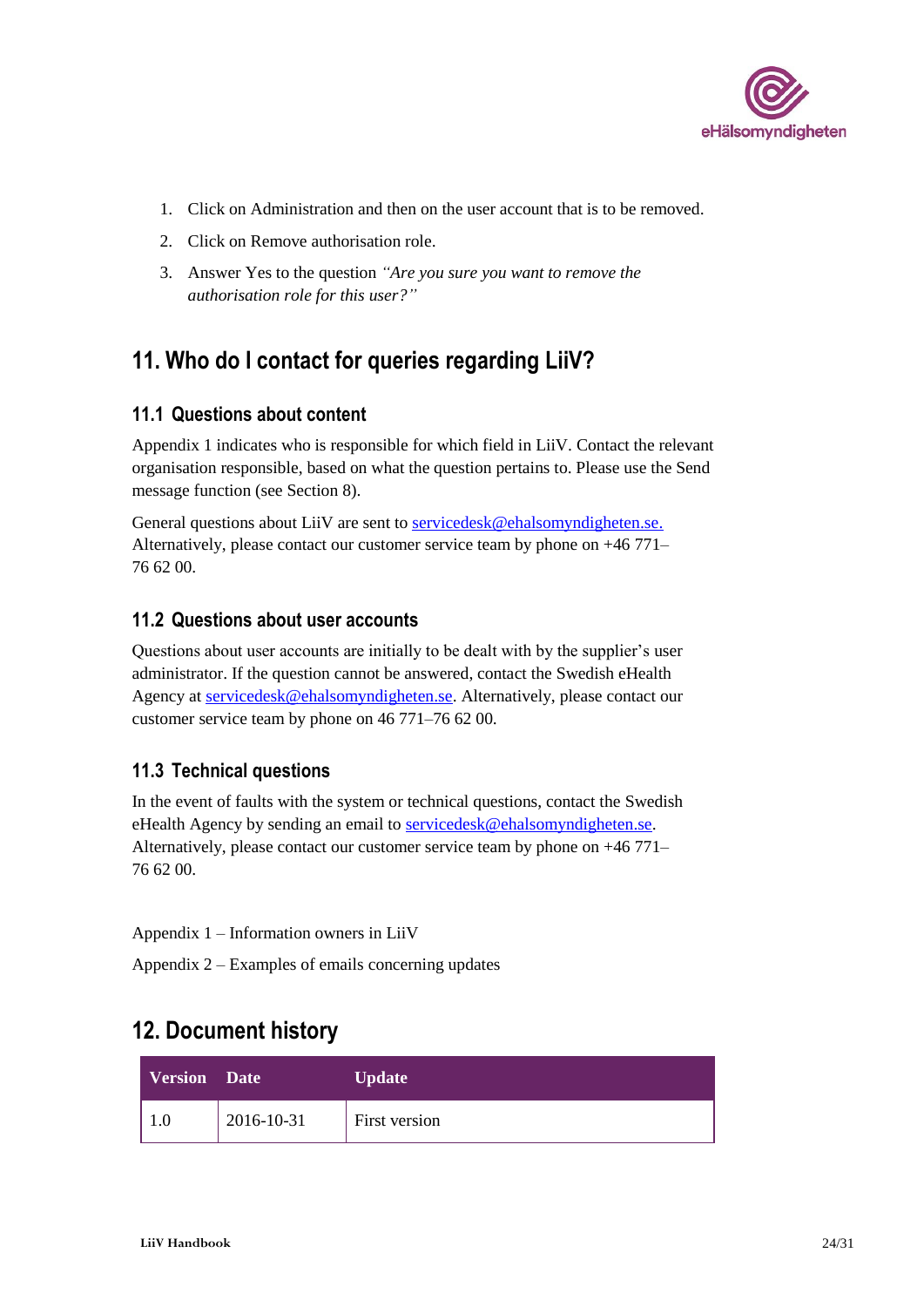

- 1. Click on Administration and then on the user account that is to be removed.
- 2. Click on Remove authorisation role.
- 3. Answer Yes to the question *"Are you sure you want to remove the authorisation role for this user?"*

## <span id="page-23-0"></span>**11. Who do I contact for queries regarding LiiV?**

#### <span id="page-23-1"></span>**11.1 Questions about content**

Appendix 1 indicates who is responsible for which field in LiiV. Contact the relevant organisation responsible, based on what the question pertains to. Please use the Send message function (see Section 8).

General questions about LiiV are sent to [servicedesk@ehalsomyndigheten.se.](mailto:servicedesk@ehalsomyndigheten.se) Alternatively, please contact our customer service team by phone on +46 771– 76 62 00.

#### <span id="page-23-2"></span>**11.2 Questions about user accounts**

Questions about user accounts are initially to be dealt with by the supplier's user administrator. If the question cannot be answered, contact the Swedish eHealth Agency at [servicedesk@ehalsomyndigheten.se.](mailto:servicedesk@ehalsomyndigheten.se) Alternatively, please contact our customer service team by phone on 46 771–76 62 00.

#### <span id="page-23-3"></span>**11.3 Technical questions**

In the event of faults with the system or technical questions, contact the Swedish eHealth Agency by sending an email to **servicedesk@ehalsomyndigheten.se**. Alternatively, please contact our customer service team by phone on +46 771– 76 62 00.

Appendix 1 – Information owners in LiiV

<span id="page-23-4"></span>Appendix 2 – Examples of emails concerning updates

## **12. Document history**

| <b>Version</b> Date |            | <b>Update</b> |
|---------------------|------------|---------------|
|                     | 2016-10-31 | First version |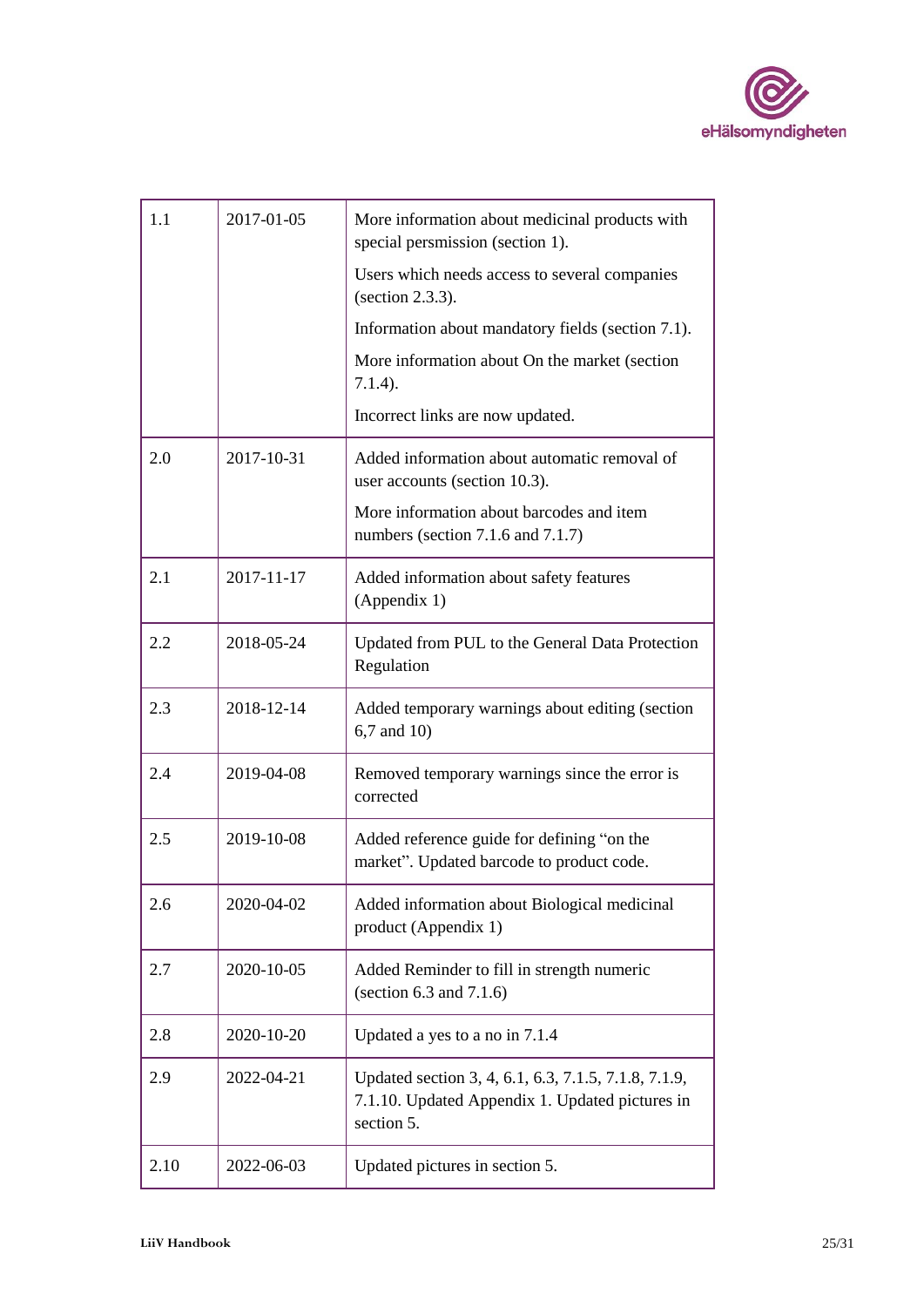![](_page_24_Picture_0.jpeg)

| 1.1  | 2017-01-05 | More information about medicinal products with<br>special persmission (section 1).                                    |
|------|------------|-----------------------------------------------------------------------------------------------------------------------|
|      |            | Users which needs access to several companies<br>(section 2.3.3).                                                     |
|      |            | Information about mandatory fields (section 7.1).                                                                     |
|      |            | More information about On the market (section<br>$7.1.4$ ).                                                           |
|      |            | Incorrect links are now updated.                                                                                      |
| 2.0  | 2017-10-31 | Added information about automatic removal of<br>user accounts (section 10.3).                                         |
|      |            | More information about barcodes and item<br>numbers (section 7.1.6 and 7.1.7)                                         |
| 2.1  | 2017-11-17 | Added information about safety features<br>(Appendix 1)                                                               |
| 2.2  | 2018-05-24 | Updated from PUL to the General Data Protection<br>Regulation                                                         |
| 2.3  | 2018-12-14 | Added temporary warnings about editing (section<br>6,7 and 10)                                                        |
| 2.4  | 2019-04-08 | Removed temporary warnings since the error is<br>corrected                                                            |
| 2.5  | 2019-10-08 | Added reference guide for defining "on the<br>market". Updated barcode to product code.                               |
| 2.6  | 2020-04-02 | Added information about Biological medicinal<br>product (Appendix 1)                                                  |
| 2.7  | 2020-10-05 | Added Reminder to fill in strength numeric<br>(section $6.3$ and $7.1.6$ )                                            |
| 2.8  | 2020-10-20 | Updated a yes to a no in 7.1.4                                                                                        |
| 2.9  | 2022-04-21 | Updated section 3, 4, 6.1, 6.3, 7.1.5, 7.1.8, 7.1.9,<br>7.1.10. Updated Appendix 1. Updated pictures in<br>section 5. |
| 2.10 | 2022-06-03 | Updated pictures in section 5.                                                                                        |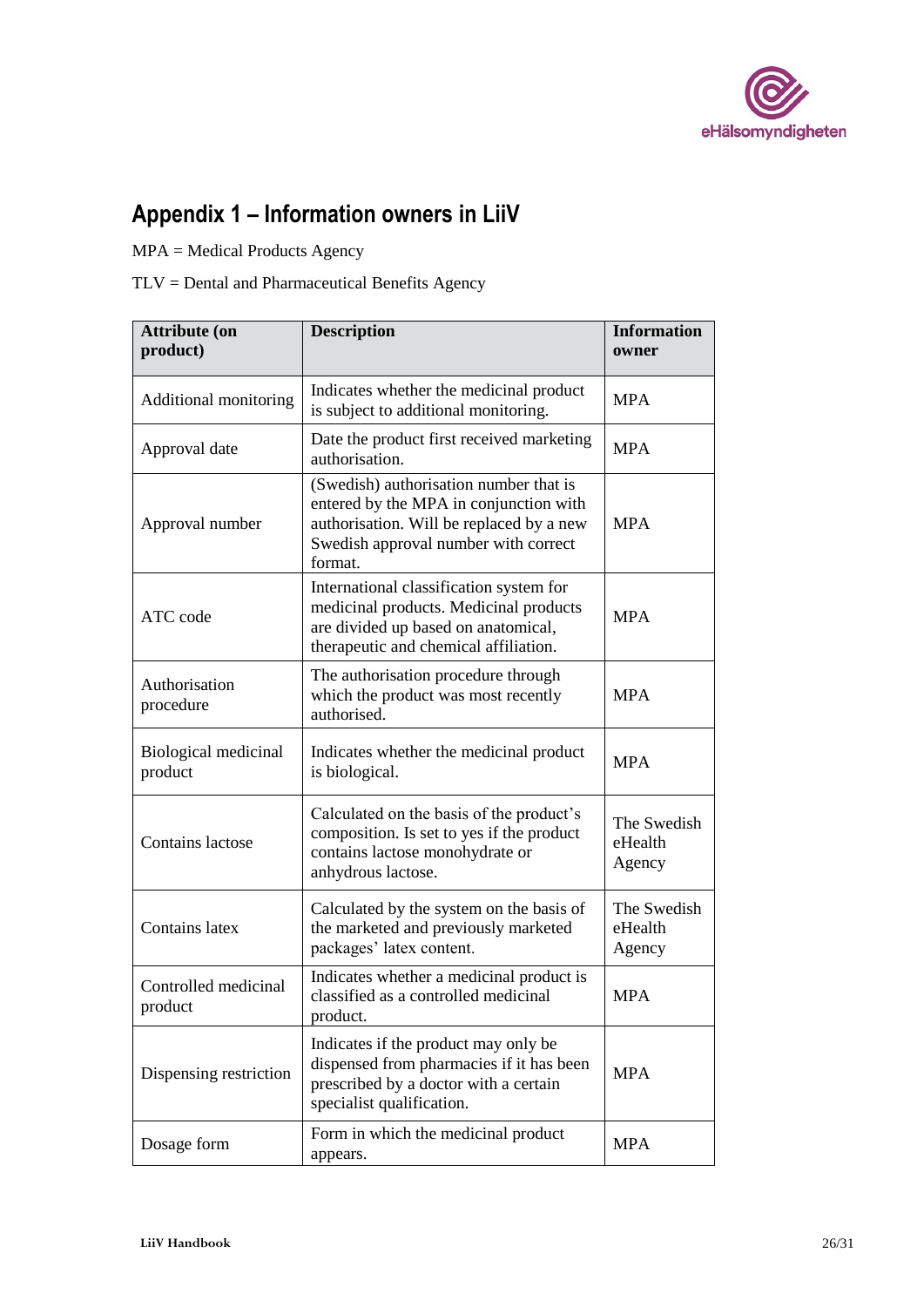![](_page_25_Picture_0.jpeg)

# <span id="page-25-0"></span>**Appendix 1 – Information owners in LiiV**

MPA = Medical Products Agency

TLV = Dental and Pharmaceutical Benefits Agency

| <b>Attribute (on</b><br>product) | <b>Description</b>                                                                                                                                                              | <b>Information</b><br>owner      |
|----------------------------------|---------------------------------------------------------------------------------------------------------------------------------------------------------------------------------|----------------------------------|
| Additional monitoring            | Indicates whether the medicinal product<br>is subject to additional monitoring.                                                                                                 | <b>MPA</b>                       |
| Approval date                    | Date the product first received marketing<br>authorisation.                                                                                                                     | <b>MPA</b>                       |
| Approval number                  | (Swedish) authorisation number that is<br>entered by the MPA in conjunction with<br>authorisation. Will be replaced by a new<br>Swedish approval number with correct<br>format. | <b>MPA</b>                       |
| ATC code                         | International classification system for<br>medicinal products. Medicinal products<br>are divided up based on anatomical,<br>therapeutic and chemical affiliation.               | <b>MPA</b>                       |
| Authorisation<br>procedure       | The authorisation procedure through<br>which the product was most recently<br>authorised.                                                                                       | <b>MPA</b>                       |
| Biological medicinal<br>product  | Indicates whether the medicinal product<br>is biological.                                                                                                                       | <b>MPA</b>                       |
| <b>Contains lactose</b>          | Calculated on the basis of the product's<br>composition. Is set to yes if the product<br>contains lactose monohydrate or<br>anhydrous lactose.                                  | The Swedish<br>eHealth<br>Agency |
| <b>Contains latex</b>            | Calculated by the system on the basis of<br>the marketed and previously marketed<br>packages' latex content.                                                                    | The Swedish<br>eHealth<br>Agency |
| Controlled medicinal<br>product  | Indicates whether a medicinal product is<br>classified as a controlled medicinal<br>product.                                                                                    | <b>MPA</b>                       |
| Dispensing restriction           | Indicates if the product may only be<br>dispensed from pharmacies if it has been<br>prescribed by a doctor with a certain<br>specialist qualification.                          | <b>MPA</b>                       |
| Dosage form                      | Form in which the medicinal product<br>appears.                                                                                                                                 | <b>MPA</b>                       |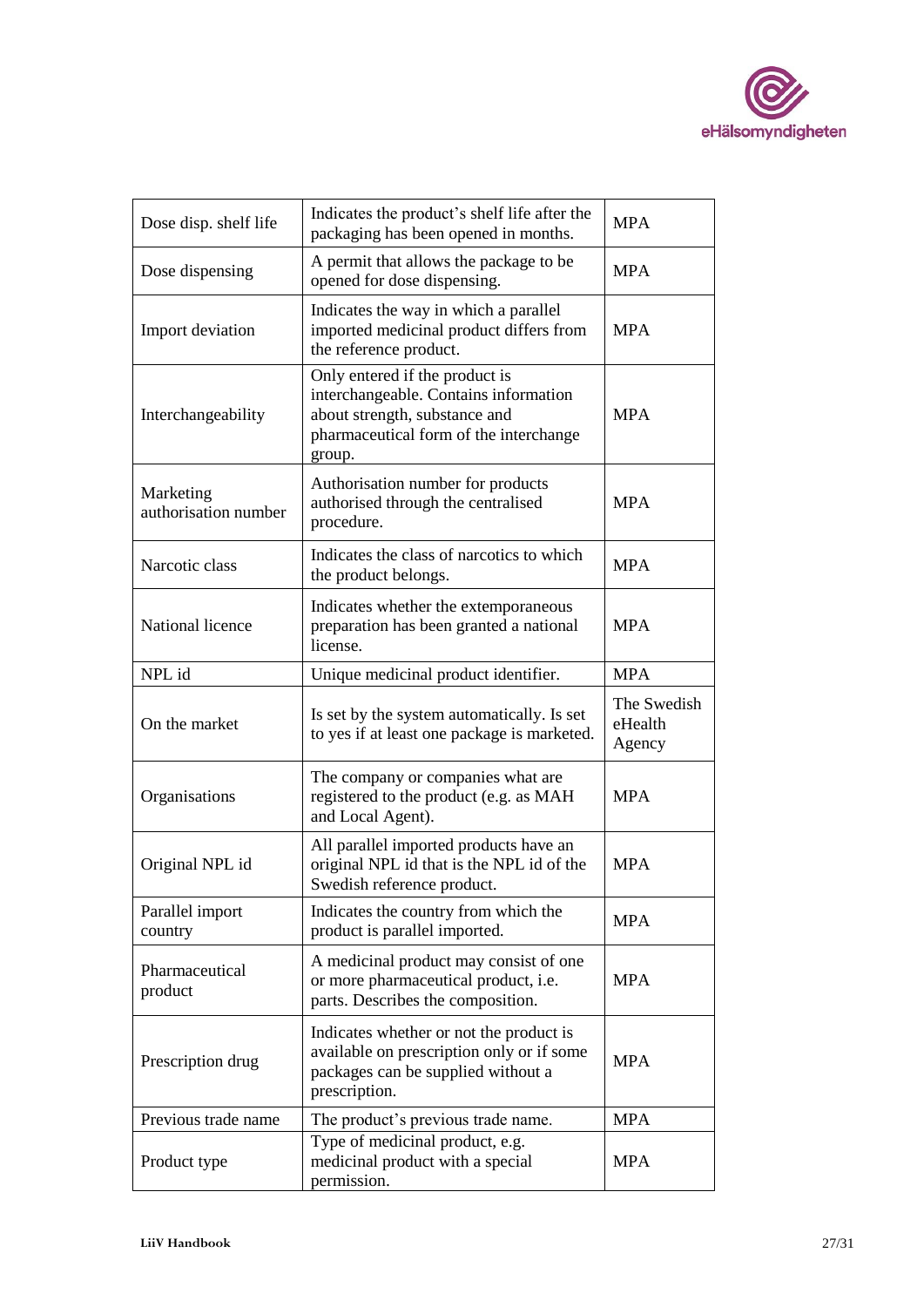![](_page_26_Picture_0.jpeg)

| Dose disp. shelf life             | Indicates the product's shelf life after the<br>packaging has been opened in months.                                                                         | <b>MPA</b>                       |
|-----------------------------------|--------------------------------------------------------------------------------------------------------------------------------------------------------------|----------------------------------|
| Dose dispensing                   | A permit that allows the package to be<br>opened for dose dispensing.                                                                                        | <b>MPA</b>                       |
| Import deviation                  | Indicates the way in which a parallel<br>imported medicinal product differs from<br>the reference product.                                                   | <b>MPA</b>                       |
| Interchangeability                | Only entered if the product is<br>interchangeable. Contains information<br>about strength, substance and<br>pharmaceutical form of the interchange<br>group. | <b>MPA</b>                       |
| Marketing<br>authorisation number | Authorisation number for products<br>authorised through the centralised<br>procedure.                                                                        | <b>MPA</b>                       |
| Narcotic class                    | Indicates the class of narcotics to which<br>the product belongs.                                                                                            | <b>MPA</b>                       |
| National licence                  | Indicates whether the extemporaneous<br>preparation has been granted a national<br>license.                                                                  | <b>MPA</b>                       |
| NPL id                            | Unique medicinal product identifier.                                                                                                                         | <b>MPA</b>                       |
| On the market                     | Is set by the system automatically. Is set<br>to yes if at least one package is marketed.                                                                    | The Swedish<br>eHealth<br>Agency |
| Organisations                     | The company or companies what are<br>registered to the product (e.g. as MAH<br>and Local Agent).                                                             | <b>MPA</b>                       |
| Original NPL id                   | All parallel imported products have an<br>original NPL id that is the NPL id of the<br>Swedish reference product.                                            | <b>MPA</b>                       |
| Parallel import<br>country        | Indicates the country from which the<br>product is parallel imported.                                                                                        | <b>MPA</b>                       |
| Pharmaceutical<br>product         | A medicinal product may consist of one<br>or more pharmaceutical product, i.e.<br>parts. Describes the composition.                                          | <b>MPA</b>                       |
| Prescription drug                 | Indicates whether or not the product is<br>available on prescription only or if some<br>packages can be supplied without a<br>prescription.                  | <b>MPA</b>                       |
| Previous trade name               | The product's previous trade name.                                                                                                                           | <b>MPA</b>                       |
| Product type                      | Type of medicinal product, e.g.<br>medicinal product with a special<br>permission.                                                                           | <b>MPA</b>                       |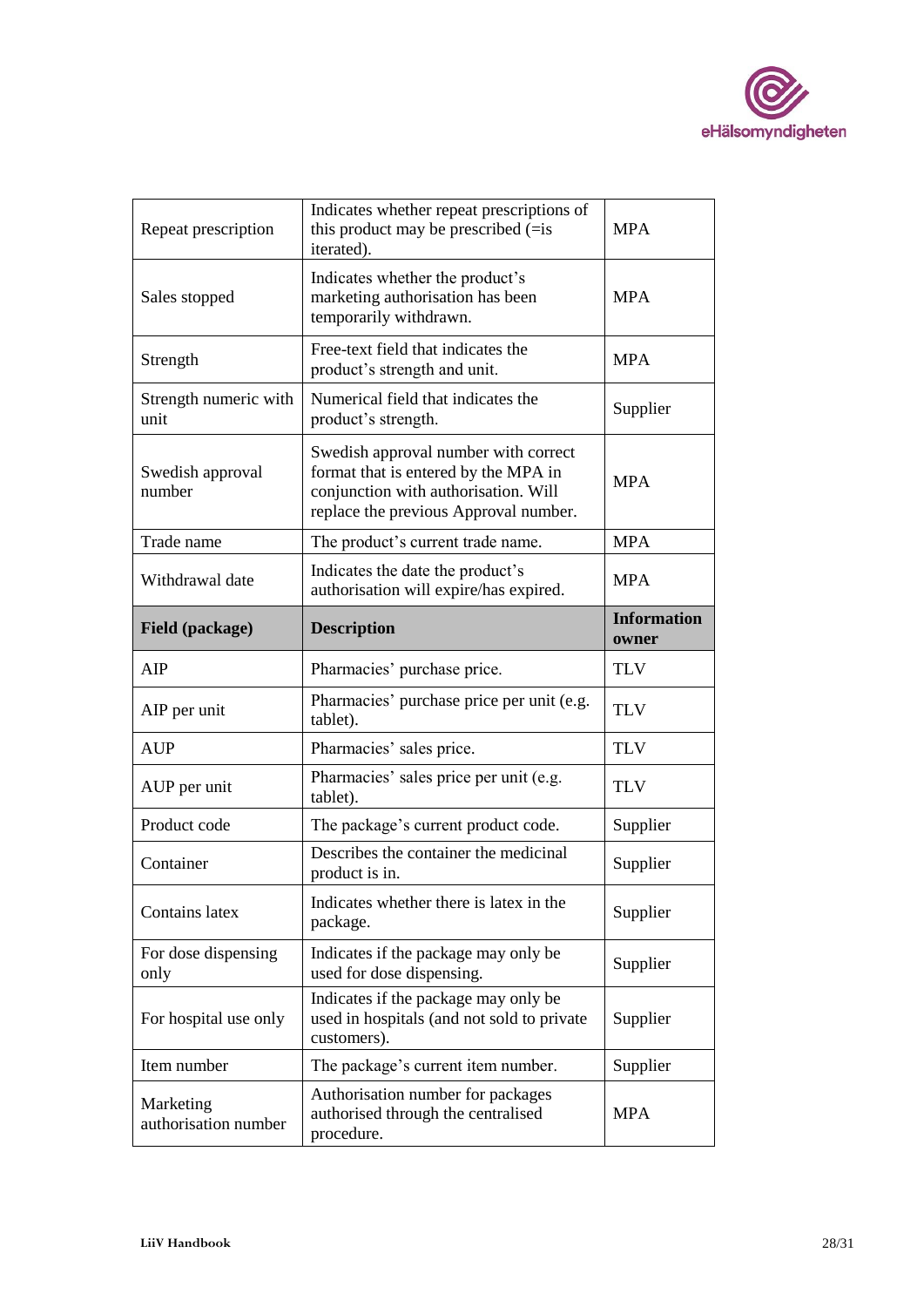![](_page_27_Picture_0.jpeg)

| Repeat prescription           | Indicates whether repeat prescriptions of<br>this product may be prescribed $(=is$<br>iterated).                                                              | <b>MPA</b>                  |
|-------------------------------|---------------------------------------------------------------------------------------------------------------------------------------------------------------|-----------------------------|
| Sales stopped                 | Indicates whether the product's<br>marketing authorisation has been<br>temporarily withdrawn.                                                                 | <b>MPA</b>                  |
| Strength                      | Free-text field that indicates the<br>product's strength and unit.                                                                                            | <b>MPA</b>                  |
| Strength numeric with<br>unit | Numerical field that indicates the<br>product's strength.                                                                                                     | Supplier                    |
| Swedish approval<br>number    | Swedish approval number with correct<br>format that is entered by the MPA in<br>conjunction with authorisation. Will<br>replace the previous Approval number. | <b>MPA</b>                  |
| Trade name                    | The product's current trade name.                                                                                                                             | <b>MPA</b>                  |
| Withdrawal date               | Indicates the date the product's<br>authorisation will expire/has expired.                                                                                    | <b>MPA</b>                  |
| <b>Field (package)</b>        | <b>Description</b>                                                                                                                                            | <b>Information</b><br>owner |
| AIP                           | Pharmacies' purchase price.                                                                                                                                   | <b>TLV</b>                  |
|                               |                                                                                                                                                               |                             |
| AIP per unit                  | Pharmacies' purchase price per unit (e.g.<br>tablet).                                                                                                         | <b>TLV</b>                  |
| <b>AUP</b>                    | Pharmacies' sales price.                                                                                                                                      | <b>TLV</b>                  |
| AUP per unit                  | Pharmacies' sales price per unit (e.g.<br>tablet).                                                                                                            | <b>TLV</b>                  |
| Product code                  | The package's current product code.                                                                                                                           | Supplier                    |
| Container                     | Describes the container the medicinal<br>product is in.                                                                                                       | Supplier                    |
| <b>Contains latex</b>         | Indicates whether there is latex in the<br>package.                                                                                                           | Supplier                    |
| For dose dispensing<br>only   | Indicates if the package may only be<br>used for dose dispensing.                                                                                             | Supplier                    |
| For hospital use only         | Indicates if the package may only be<br>used in hospitals (and not sold to private<br>customers).                                                             | Supplier                    |
| Item number                   | The package's current item number.                                                                                                                            | Supplier                    |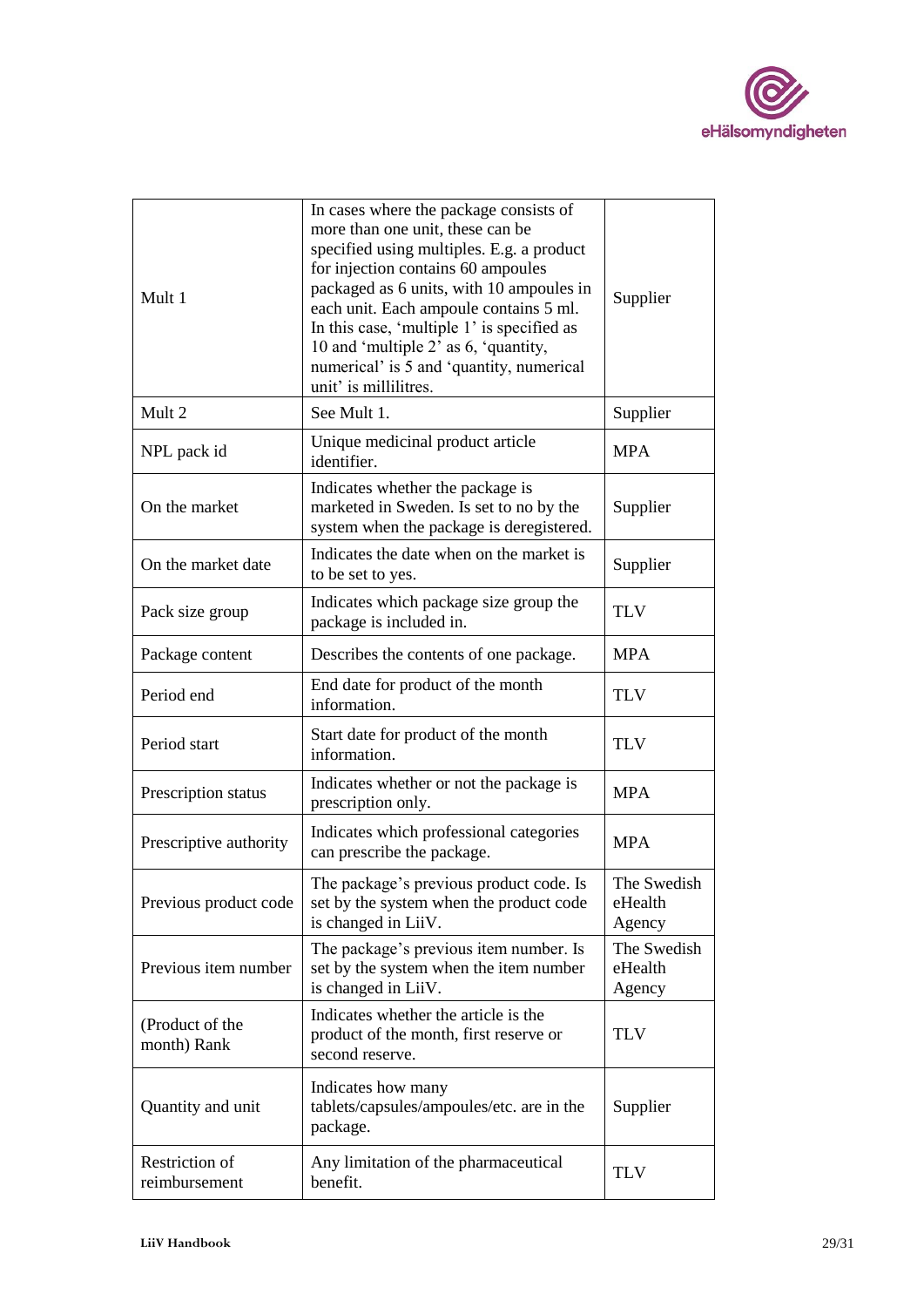![](_page_28_Picture_0.jpeg)

| Mult 1                          | In cases where the package consists of<br>more than one unit, these can be<br>specified using multiples. E.g. a product<br>for injection contains 60 ampoules<br>packaged as 6 units, with 10 ampoules in<br>each unit. Each ampoule contains 5 ml.<br>In this case, 'multiple 1' is specified as<br>10 and 'multiple 2' as 6, 'quantity,<br>numerical' is 5 and 'quantity, numerical<br>unit' is millilitres. | Supplier                         |
|---------------------------------|----------------------------------------------------------------------------------------------------------------------------------------------------------------------------------------------------------------------------------------------------------------------------------------------------------------------------------------------------------------------------------------------------------------|----------------------------------|
| Mult 2                          | See Mult 1.                                                                                                                                                                                                                                                                                                                                                                                                    | Supplier                         |
| NPL pack id                     | Unique medicinal product article<br>identifier.                                                                                                                                                                                                                                                                                                                                                                | <b>MPA</b>                       |
| On the market                   | Indicates whether the package is<br>marketed in Sweden. Is set to no by the<br>system when the package is deregistered.                                                                                                                                                                                                                                                                                        | Supplier                         |
| On the market date              | Indicates the date when on the market is<br>to be set to yes.                                                                                                                                                                                                                                                                                                                                                  | Supplier                         |
| Pack size group                 | Indicates which package size group the<br>package is included in.                                                                                                                                                                                                                                                                                                                                              | <b>TLV</b>                       |
| Package content                 | Describes the contents of one package.                                                                                                                                                                                                                                                                                                                                                                         | <b>MPA</b>                       |
| Period end                      | End date for product of the month<br>information.                                                                                                                                                                                                                                                                                                                                                              | <b>TLV</b>                       |
| Period start                    | Start date for product of the month<br>information.                                                                                                                                                                                                                                                                                                                                                            | <b>TLV</b>                       |
| Prescription status             | Indicates whether or not the package is<br>prescription only.                                                                                                                                                                                                                                                                                                                                                  | <b>MPA</b>                       |
| Prescriptive authority          | Indicates which professional categories<br>can prescribe the package.                                                                                                                                                                                                                                                                                                                                          | <b>MPA</b>                       |
| Previous product code           | The package's previous product code. Is<br>set by the system when the product code<br>is changed in LiiV.                                                                                                                                                                                                                                                                                                      | The Swedish<br>eHealth<br>Agency |
| Previous item number            | The package's previous item number. Is<br>set by the system when the item number<br>is changed in LiiV.                                                                                                                                                                                                                                                                                                        | The Swedish<br>eHealth<br>Agency |
| (Product of the<br>month) Rank  | Indicates whether the article is the<br>product of the month, first reserve or<br>second reserve.                                                                                                                                                                                                                                                                                                              | <b>TLV</b>                       |
| Quantity and unit               | Indicates how many<br>tablets/capsules/ampoules/etc. are in the<br>package.                                                                                                                                                                                                                                                                                                                                    | Supplier                         |
| Restriction of<br>reimbursement | Any limitation of the pharmaceutical<br>benefit.                                                                                                                                                                                                                                                                                                                                                               | <b>TLV</b>                       |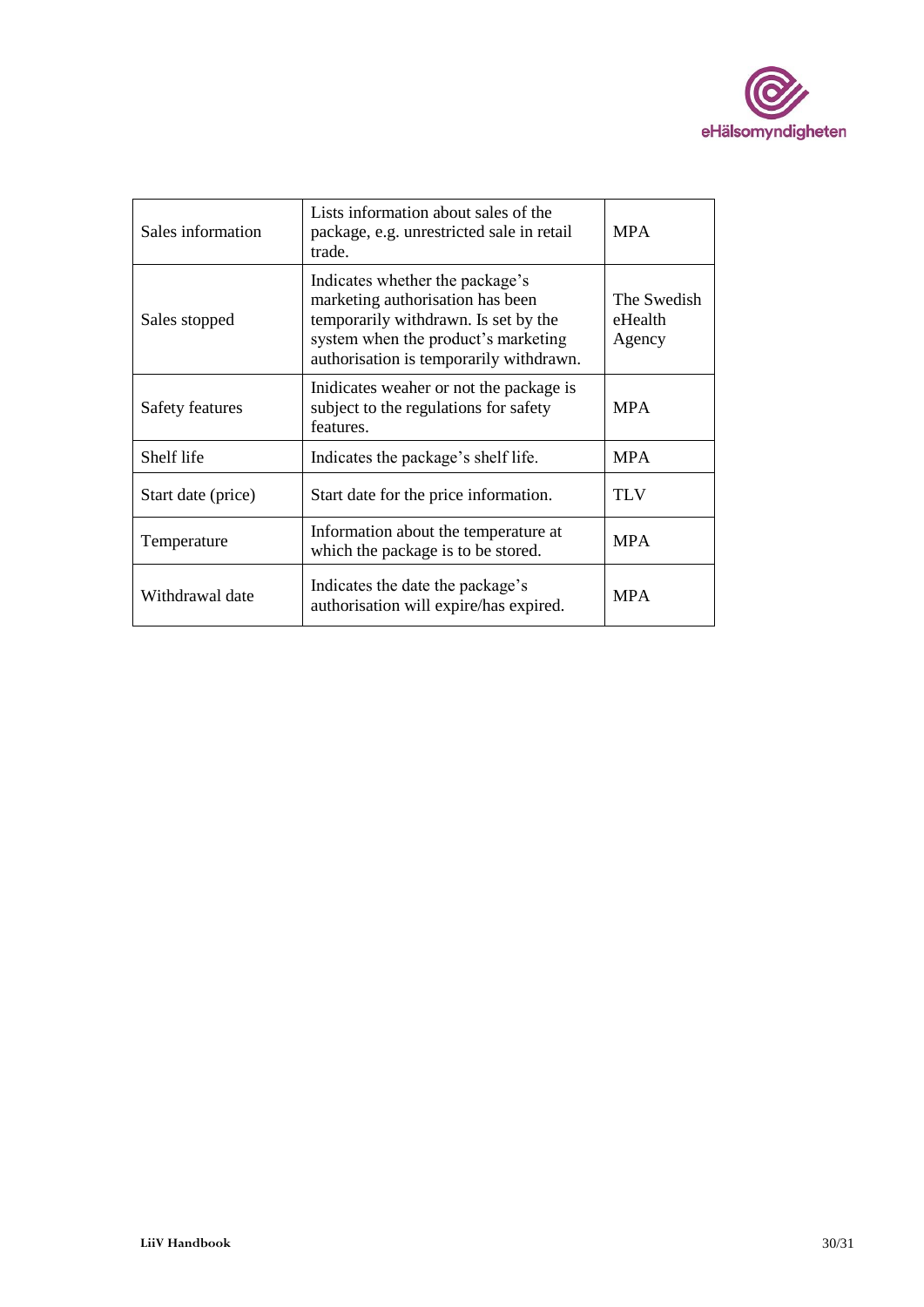![](_page_29_Picture_0.jpeg)

| Sales information  | Lists information about sales of the<br>package, e.g. unrestricted sale in retail<br>trade.                                                                                                   | <b>MPA</b>                       |
|--------------------|-----------------------------------------------------------------------------------------------------------------------------------------------------------------------------------------------|----------------------------------|
| Sales stopped      | Indicates whether the package's<br>marketing authorisation has been<br>temporarily withdrawn. Is set by the<br>system when the product's marketing<br>authorisation is temporarily withdrawn. | The Swedish<br>eHealth<br>Agency |
| Safety features    | Inidicates weaker or not the package is<br>subject to the regulations for safety<br>features.                                                                                                 | <b>MPA</b>                       |
| Shelf life         | Indicates the package's shelf life.                                                                                                                                                           | <b>MPA</b>                       |
| Start date (price) | Start date for the price information.                                                                                                                                                         | <b>TLV</b>                       |
| Temperature        | Information about the temperature at<br>which the package is to be stored.                                                                                                                    | <b>MPA</b>                       |
| Withdrawal date    | Indicates the date the package's<br>authorisation will expire/has expired.                                                                                                                    | <b>MPA</b>                       |